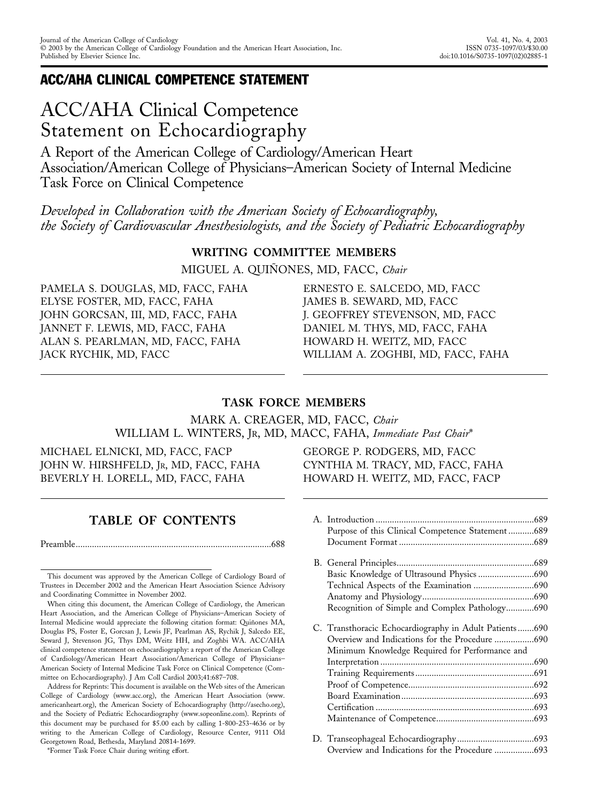# ACC/AHA CLINICAL COMPETENCE STATEMENT

# ACC/AHA Clinical Competence Statement on Echocardiography

A Report of the American College of Cardiology/American Heart Association/American College of Physicians–American Society of Internal Medicine Task Force on Clinical Competence

*Developed in Collaboration with the American Society of Echocardiography, the Society of Cardiovascular Anesthesiologists, and the Society of Pediatric Echocardiography*

# **WRITING COMMITTEE MEMBERS**

MIGUEL A. QUINONES, MD, FACC, *Chair* 

PAMELA S. DOUGLAS, MD, FACC, FAHA ELYSE FOSTER, MD, FACC, FAHA JOHN GORCSAN, III, MD, FACC, FAHA JANNET F. LEWIS, MD, FACC, FAHA ALAN S. PEARLMAN, MD, FACC, FAHA JACK RYCHIK, MD, FACC

ERNESTO E. SALCEDO, MD, FACC JAMES B. SEWARD, MD, FACC J. GEOFFREY STEVENSON, MD, FACC DANIEL M. THYS, MD, FACC, FAHA HOWARD H. WEITZ, MD, FACC WILLIAM A. ZOGHBI, MD, FACC, FAHA

# **TASK FORCE MEMBERS**

MARK A. CREAGER, MD, FACC, *Chair* WILLIAM L. WINTERS, JR, MD, MACC, FAHA, *Immediate Past Chair*\*

MICHAEL ELNICKI, MD, FACC, FACP JOHN W. HIRSHFELD, JR, MD, FACC, FAHA BEVERLY H. LORELL, MD, FACC, FAHA

GEORGE P. RODGERS, MD, FACC CYNTHIA M. TRACY, MD, FACC, FAHA HOWARD H. WEITZ, MD, FACC, FACP

# **TABLE OF CONTENTS**

Preamble....................................................................................688

This document was approved by the American College of Cardiology Board of Trustees in December 2002 and the American Heart Association Science Advisory and Coordinating Committee in November 2002.

When citing this document, the American College of Cardiology, the American Heart Association, and the American College of Physicians–American Society of Internal Medicine would appreciate the following citation format: Quiñones MA, Douglas PS, Foster E, Gorcsan J, Lewis JF, Pearlman AS, Rychik J, Salcedo EE, Seward J, Stevenson JG, Thys DM, Weitz HH, and Zoghbi WA. ACC/AHA clinical competence statement on echocardiography: a report of the American College of Cardiology/American Heart Association/American College of Physicians– American Society of Internal Medicine Task Force on Clinical Competence (Committee on Echocardiography). J Am Coll Cardiol 2003;41:687–708.

Address for Reprints: This document is available on the Web sites of the American College of Cardiology (www.acc.org), the American Heart Association (www. americanheart.org), the American Society of Echocardiography (http://asecho.org), and the Society of Pediatric Echocardiography (www.sopeonline.com). Reprints of this document may be purchased for \$5.00 each by calling 1-800-253-4636 or by writing to the American College of Cardiology, Resource Center, 9111 Old Georgetown Road, Bethesda, Maryland 20814-1699.

\*Former Task Force Chair during writing effort.

| Purpose of this Clinical Competence Statement689       |  |
|--------------------------------------------------------|--|
|                                                        |  |
|                                                        |  |
| Basic Knowledge of Ultrasound Physics 690              |  |
|                                                        |  |
|                                                        |  |
| Recognition of Simple and Complex Pathology690         |  |
| C. Transthoracic Echocardiography in Adult Patients690 |  |
| Overview and Indications for the Procedure 690         |  |
| Minimum Knowledge Required for Performance and         |  |
|                                                        |  |
|                                                        |  |
|                                                        |  |
|                                                        |  |
|                                                        |  |
|                                                        |  |
|                                                        |  |
|                                                        |  |
|                                                        |  |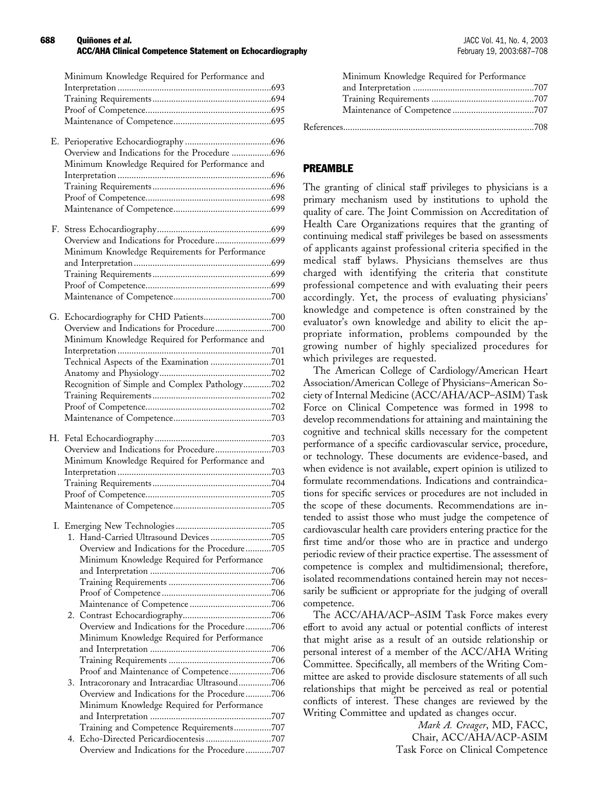#### 688 **Quiñones** *et al.*<br>**ACC/AHA Clinical Competence Statement on Echocardiography and the statement of Chinaca Consumer Chinaca Chinaca** ACC/AHA Clinical Competence Statement on Echocardiography

|  | Minimum Knowledge Required for Performance and  |  |
|--|-------------------------------------------------|--|
|  |                                                 |  |
|  |                                                 |  |
|  |                                                 |  |
|  |                                                 |  |
|  | Overview and Indications for the Procedure 696  |  |
|  | Minimum Knowledge Required for Performance and  |  |
|  |                                                 |  |
|  |                                                 |  |
|  |                                                 |  |
|  |                                                 |  |
|  |                                                 |  |
|  |                                                 |  |
|  | Minimum Knowledge Requirements for Performance  |  |
|  |                                                 |  |
|  |                                                 |  |
|  |                                                 |  |
|  |                                                 |  |
|  |                                                 |  |
|  | Overview and Indications for Procedure700       |  |
|  | Minimum Knowledge Required for Performance and  |  |
|  |                                                 |  |
|  | Technical Aspects of the Examination 701        |  |
|  |                                                 |  |
|  | Recognition of Simple and Complex Pathology702  |  |
|  |                                                 |  |
|  |                                                 |  |
|  |                                                 |  |
|  |                                                 |  |
|  |                                                 |  |
|  | Overview and Indications for Procedure703       |  |
|  | Minimum Knowledge Required for Performance and  |  |
|  |                                                 |  |
|  |                                                 |  |
|  |                                                 |  |
|  |                                                 |  |
|  |                                                 |  |
|  |                                                 |  |
|  | Overview and Indications for the Procedure705   |  |
|  | Minimum Knowledge Required for Performance      |  |
|  |                                                 |  |
|  |                                                 |  |
|  |                                                 |  |
|  |                                                 |  |
|  |                                                 |  |
|  | Overview and Indications for the Procedure706   |  |
|  | Minimum Knowledge Required for Performance      |  |
|  |                                                 |  |
|  |                                                 |  |
|  | Proof and Maintenance of Competence706          |  |
|  | 3. Intracoronary and Intracardiac Ultrasound706 |  |
|  | Overview and Indications for the Procedure706   |  |
|  | Minimum Knowledge Required for Performance      |  |
|  |                                                 |  |
|  | Training and Competence Requirements707         |  |
|  |                                                 |  |
|  | Overview and Indications for the Procedure707   |  |

| Minimum Knowledge Required for Performance |  |
|--------------------------------------------|--|
|                                            |  |
|                                            |  |
|                                            |  |
|                                            |  |

# PREAMBLE

The granting of clinical staff privileges to physicians is a primary mechanism used by institutions to uphold the quality of care. The Joint Commission on Accreditation of Health Care Organizations requires that the granting of continuing medical staff privileges be based on assessments of applicants against professional criteria specified in the medical staff bylaws. Physicians themselves are thus charged with identifying the criteria that constitute professional competence and with evaluating their peers accordingly. Yet, the process of evaluating physicians' knowledge and competence is often constrained by the evaluator's own knowledge and ability to elicit the appropriate information, problems compounded by the growing number of highly specialized procedures for which privileges are requested.

The American College of Cardiology/American Heart Association/American College of Physicians–American Society of Internal Medicine (ACC/AHA/ACP–ASIM) Task Force on Clinical Competence was formed in 1998 to develop recommendations for attaining and maintaining the cognitive and technical skills necessary for the competent performance of a specific cardiovascular service, procedure, or technology. These documents are evidence-based, and when evidence is not available, expert opinion is utilized to formulate recommendations. Indications and contraindications for specific services or procedures are not included in the scope of these documents. Recommendations are intended to assist those who must judge the competence of cardiovascular health care providers entering practice for the first time and/or those who are in practice and undergo periodic review of their practice expertise. The assessment of competence is complex and multidimensional; therefore, isolated recommendations contained herein may not necessarily be sufficient or appropriate for the judging of overall competence.

The ACC/AHA/ACP–ASIM Task Force makes every effort to avoid any actual or potential conflicts of interest that might arise as a result of an outside relationship or personal interest of a member of the ACC/AHA Writing Committee. Specifically, all members of the Writing Committee are asked to provide disclosure statements of all such relationships that might be perceived as real or potential conflicts of interest. These changes are reviewed by the Writing Committee and updated as changes occur.

> *Mark A. Creager*, MD, FACC, Chair, ACC/AHA/ACP-ASIM Task Force on Clinical Competence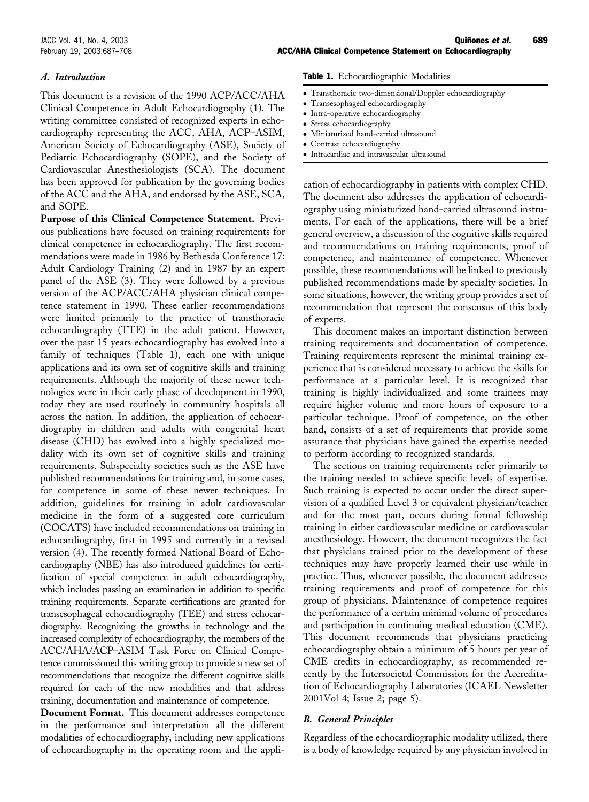# *A. Introduction*

This document is a revision of the 1990 ACP/ACC/AHA Clinical Competence in Adult Echocardiography [\(1\).](#page-21-0) The writing committee consisted of recognized experts in echocardiography representing the ACC, AHA, ACP–ASIM, American Society of Echocardiography (ASE), Society of Pediatric Echocardiography (SOPE), and the Society of Cardiovascular Anesthesiologists (SCA). The document has been approved for publication by the governing bodies of the ACC and the AHA, and endorsed by the ASE, SCA, and SOPE.

**Purpose of this Clinical Competence Statement.** Previous publications have focused on training requirements for clinical competence in echocardiography. The first recommendations were made in 1986 by Bethesda Conference 17: Adult Cardiology Training [\(2\)](#page-21-0) and in 1987 by an expert panel of the ASE [\(3\)](#page-21-0). They were followed by a previous version of the ACP/ACC/AHA physician clinical competence statement in 1990. These earlier recommendations were limited primarily to the practice of transthoracic echocardiography (TTE) in the adult patient. However, over the past 15 years echocardiography has evolved into a family of techniques (Table 1), each one with unique applications and its own set of cognitive skills and training requirements. Although the majority of these newer technologies were in their early phase of development in 1990, today they are used routinely in community hospitals all across the nation. In addition, the application of echocardiography in children and adults with congenital heart disease (CHD) has evolved into a highly specialized modality with its own set of cognitive skills and training requirements. Subspecialty societies such as the ASE have published recommendations for training and, in some cases, for competence in some of these newer techniques. In addition, guidelines for training in adult cardiovascular medicine in the form of a suggested core curriculum (COCATS) have included recommendations on training in echocardiography, first in 1995 and currently in a revised version [\(4\)](#page-21-0). The recently formed National Board of Echocardiography (NBE) has also introduced guidelines for certification of special competence in adult echocardiography, which includes passing an examination in addition to specific training requirements. Separate certifications are granted for transesophageal echocardiography (TEE) and stress echocardiography. Recognizing the growths in technology and the increased complexity of echocardiography, the members of the ACC/AHA/ACP–ASIM Task Force on Clinical Competence commissioned this writing group to provide a new set of recommendations that recognize the different cognitive skills required for each of the new modalities and that address training, documentation and maintenance of competence.

**Document Format.** This document addresses competence in the performance and interpretation all the different modalities of echocardiography, including new applications of echocardiography in the operating room and the appliTable 1. Echocardiographic Modalities

- Transthoracic two-dimensional/Doppler echocardiography
- Transesophageal echocardiography
- Intra-operative echocardiography
- Stress echocardiography
- Miniaturized hand-carried ultrasound ● Contrast echocardiography
- Intracardiac and intravascular ultrasound

cation of echocardiography in patients with complex CHD. The document also addresses the application of echocardiography using miniaturized hand-carried ultrasound instruments. For each of the applications, there will be a brief general overview, a discussion of the cognitive skills required and recommendations on training requirements, proof of competence, and maintenance of competence. Whenever possible, these recommendations will be linked to previously published recommendations made by specialty societies. In some situations, however, the writing group provides a set of recommendation that represent the consensus of this body of experts.

This document makes an important distinction between training requirements and documentation of competence. Training requirements represent the minimal training experience that is considered necessary to achieve the skills for performance at a particular level. It is recognized that training is highly individualized and some trainees may require higher volume and more hours of exposure to a particular technique. Proof of competence, on the other hand, consists of a set of requirements that provide some assurance that physicians have gained the expertise needed to perform according to recognized standards.

The sections on training requirements refer primarily to the training needed to achieve specific levels of expertise. Such training is expected to occur under the direct supervision of a qualified Level 3 or equivalent physician/teacher and for the most part, occurs during formal fellowship training in either cardiovascular medicine or cardiovascular anesthesiology. However, the document recognizes the fact that physicians trained prior to the development of these techniques may have properly learned their use while in practice. Thus, whenever possible, the document addresses training requirements and proof of competence for this group of physicians. Maintenance of competence requires the performance of a certain minimal volume of procedures and participation in continuing medical education (CME). This document recommends that physicians practicing echocardiography obtain a minimum of 5 hours per year of CME credits in echocardiography, as recommended recently by the Intersocietal Commission for the Accreditation of Echocardiography Laboratories (ICAEL Newsletter 2001Vol 4; Issue 2; page 5).

# *B. General Principles*

Regardless of the echocardiographic modality utilized, there is a body of knowledge required by any physician involved in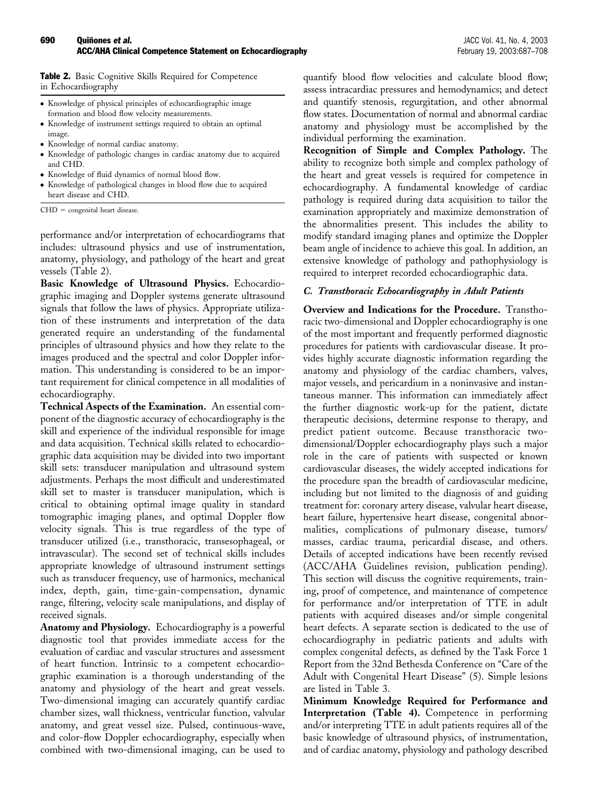#### Table 2. Basic Cognitive Skills Required for Competence in Echocardiography

- Knowledge of physical principles of echocardiographic image formation and blood flow velocity measurements.
- Knowledge of instrument settings required to obtain an optimal image.
- Knowledge of normal cardiac anatomy.
- Knowledge of pathologic changes in cardiac anatomy due to acquired and CHD.
- Knowledge of fluid dynamics of normal blood flow.
- Knowledge of pathological changes in blood flow due to acquired heart disease and CHD.

 $CHD =$  congenital heart disease.

performance and/or interpretation of echocardiograms that includes: ultrasound physics and use of instrumentation, anatomy, physiology, and pathology of the heart and great vessels (Table 2).

**Basic Knowledge of Ultrasound Physics.** Echocardiographic imaging and Doppler systems generate ultrasound signals that follow the laws of physics. Appropriate utilization of these instruments and interpretation of the data generated require an understanding of the fundamental principles of ultrasound physics and how they relate to the images produced and the spectral and color Doppler information. This understanding is considered to be an important requirement for clinical competence in all modalities of echocardiography.

**Technical Aspects of the Examination.** An essential component of the diagnostic accuracy of echocardiography is the skill and experience of the individual responsible for image and data acquisition. Technical skills related to echocardiographic data acquisition may be divided into two important skill sets: transducer manipulation and ultrasound system adjustments. Perhaps the most difficult and underestimated skill set to master is transducer manipulation, which is critical to obtaining optimal image quality in standard tomographic imaging planes, and optimal Doppler flow velocity signals. This is true regardless of the type of transducer utilized (i.e., transthoracic, transesophageal, or intravascular). The second set of technical skills includes appropriate knowledge of ultrasound instrument settings such as transducer frequency, use of harmonics, mechanical index, depth, gain, time-gain-compensation, dynamic range, filtering, velocity scale manipulations, and display of received signals.

**Anatomy and Physiology.** Echocardiography is a powerful diagnostic tool that provides immediate access for the evaluation of cardiac and vascular structures and assessment of heart function. Intrinsic to a competent echocardiographic examination is a thorough understanding of the anatomy and physiology of the heart and great vessels. Two-dimensional imaging can accurately quantify cardiac chamber sizes, wall thickness, ventricular function, valvular anatomy, and great vessel size. Pulsed, continuous-wave, and color-flow Doppler echocardiography, especially when combined with two-dimensional imaging, can be used to

quantify blood flow velocities and calculate blood flow; assess intracardiac pressures and hemodynamics; and detect and quantify stenosis, regurgitation, and other abnormal flow states. Documentation of normal and abnormal cardiac anatomy and physiology must be accomplished by the individual performing the examination.

**Recognition of Simple and Complex Pathology.** The ability to recognize both simple and complex pathology of the heart and great vessels is required for competence in echocardiography. A fundamental knowledge of cardiac pathology is required during data acquisition to tailor the examination appropriately and maximize demonstration of the abnormalities present. This includes the ability to modify standard imaging planes and optimize the Doppler beam angle of incidence to achieve this goal. In addition, an extensive knowledge of pathology and pathophysiology is required to interpret recorded echocardiographic data.

# *C. Transthoracic Echocardiography in Adult Patients*

**Overview and Indications for the Procedure.** Transthoracic two-dimensional and Doppler echocardiography is one of the most important and frequently performed diagnostic procedures for patients with cardiovascular disease. It provides highly accurate diagnostic information regarding the anatomy and physiology of the cardiac chambers, valves, major vessels, and pericardium in a noninvasive and instantaneous manner. This information can immediately affect the further diagnostic work-up for the patient, dictate therapeutic decisions, determine response to therapy, and predict patient outcome. Because transthoracic twodimensional/Doppler echocardiography plays such a major role in the care of patients with suspected or known cardiovascular diseases, the widely accepted indications for the procedure span the breadth of cardiovascular medicine, including but not limited to the diagnosis of and guiding treatment for: coronary artery disease, valvular heart disease, heart failure, hypertensive heart disease, congenital abnormalities, complications of pulmonary disease, tumors/ masses, cardiac trauma, pericardial disease, and others. Details of accepted indications have been recently revised (ACC/AHA Guidelines revision, publication pending). This section will discuss the cognitive requirements, training, proof of competence, and maintenance of competence for performance and/or interpretation of TTE in adult patients with acquired diseases and/or simple congenital heart defects. A separate section is dedicated to the use of echocardiography in pediatric patients and adults with complex congenital defects, as defined by the Task Force 1 Report from the 32nd Bethesda Conference on "Care of the Adult with Congenital Heart Disease" [\(5\)](#page-21-0). Simple lesions are listed in [Table 3](#page-4-0).

**Minimum Knowledge Required for Performance and Interpretation [\(Table 4\).](#page-4-0)** Competence in performing and/or interpreting TTE in adult patients requires all of the basic knowledge of ultrasound physics, of instrumentation, and of cardiac anatomy, physiology and pathology described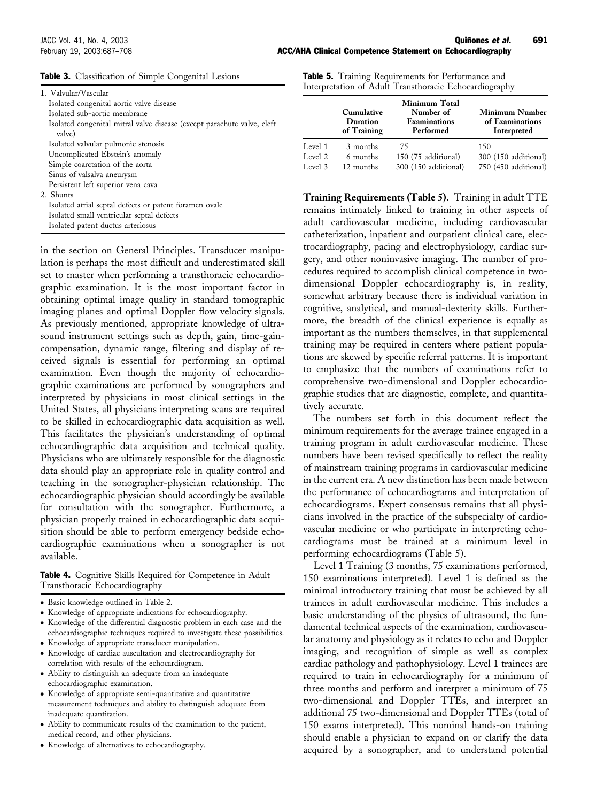<span id="page-4-0"></span>

| 1. Valvular/Vascular                                                    |
|-------------------------------------------------------------------------|
| Isolated congenital aortic valve disease                                |
| Isolated sub-aortic membrane                                            |
| Isolated congenital mitral valve disease (except parachute valve, cleft |
| valve)                                                                  |
| Isolated valvular pulmonic stenosis                                     |
| Uncomplicated Ebstein's anomaly                                         |
| Simple coarctation of the aorta                                         |
| Sinus of valsalva aneurysm                                              |
| Persistent left superior vena cava                                      |
| 2. Shunts                                                               |
| Isolated atrial septal defects or patent foramen ovale                  |
| Isolated small ventricular septal defects                               |
| Isolated patent ductus arteriosus                                       |

in the section on General Principles. Transducer manipulation is perhaps the most difficult and underestimated skill set to master when performing a transthoracic echocardiographic examination. It is the most important factor in obtaining optimal image quality in standard tomographic imaging planes and optimal Doppler flow velocity signals. As previously mentioned, appropriate knowledge of ultrasound instrument settings such as depth, gain, time-gaincompensation, dynamic range, filtering and display of received signals is essential for performing an optimal examination. Even though the majority of echocardiographic examinations are performed by sonographers and interpreted by physicians in most clinical settings in the United States, all physicians interpreting scans are required to be skilled in echocardiographic data acquisition as well. This facilitates the physician's understanding of optimal echocardiographic data acquisition and technical quality. Physicians who are ultimately responsible for the diagnostic data should play an appropriate role in quality control and teaching in the sonographer-physician relationship. The echocardiographic physician should accordingly be available for consultation with the sonographer. Furthermore, a physician properly trained in echocardiographic data acquisition should be able to perform emergency bedside echocardiographic examinations when a sonographer is not available.

Table 4. Cognitive Skills Required for Competence in Adult Transthoracic Echocardiography

- Basic knowledge outlined in Table 2.
- Knowledge of appropriate indications for echocardiography.
- Knowledge of the differential diagnostic problem in each case and the echocardiographic techniques required to investigate these possibilities.
- Knowledge of appropriate transducer manipulation.
- Knowledge of cardiac auscultation and electrocardiography for correlation with results of the echocardiogram.
- Ability to distinguish an adequate from an inadequate echocardiographic examination.
- Knowledge of appropriate semi-quantitative and quantitative measurement techniques and ability to distinguish adequate from inadequate quantitation.
- Ability to communicate results of the examination to the patient, medical record, and other physicians.
- Knowledge of alternatives to echocardiography.

|  |  | Table 5. Training Requirements for Performance and |                                                        |
|--|--|----------------------------------------------------|--------------------------------------------------------|
|  |  |                                                    | Interpretation of Adult Transthoracic Echocardiography |

|         | Cumulative<br>Duration<br>of Training | Minimum Total<br>Number of<br><b>Examinations</b><br>Performed | <b>Minimum Number</b><br>of Examinations<br>Interpreted |
|---------|---------------------------------------|----------------------------------------------------------------|---------------------------------------------------------|
| Level 1 | 3 months                              | 75                                                             | 150                                                     |
| Level 2 | 6 months                              | 150 (75 additional)                                            | 300 (150 additional)                                    |
| Level 3 | 12 months                             | 300 (150 additional)                                           | 750 (450 additional)                                    |

**Training Requirements (Table 5).** Training in adult TTE remains intimately linked to training in other aspects of adult cardiovascular medicine, including cardiovascular catheterization, inpatient and outpatient clinical care, electrocardiography, pacing and electrophysiology, cardiac surgery, and other noninvasive imaging. The number of procedures required to accomplish clinical competence in twodimensional Doppler echocardiography is, in reality, somewhat arbitrary because there is individual variation in cognitive, analytical, and manual-dexterity skills. Furthermore, the breadth of the clinical experience is equally as important as the numbers themselves, in that supplemental training may be required in centers where patient populations are skewed by specific referral patterns. It is important to emphasize that the numbers of examinations refer to comprehensive two-dimensional and Doppler echocardiographic studies that are diagnostic, complete, and quantitatively accurate.

The numbers set forth in this document reflect the minimum requirements for the average trainee engaged in a training program in adult cardiovascular medicine. These numbers have been revised specifically to reflect the reality of mainstream training programs in cardiovascular medicine in the current era. A new distinction has been made between the performance of echocardiograms and interpretation of echocardiograms. Expert consensus remains that all physicians involved in the practice of the subspecialty of cardiovascular medicine or who participate in interpreting echocardiograms must be trained at a minimum level in performing echocardiograms (Table 5).

Level 1 Training (3 months, 75 examinations performed, 150 examinations interpreted). Level 1 is defined as the minimal introductory training that must be achieved by all trainees in adult cardiovascular medicine. This includes a basic understanding of the physics of ultrasound, the fundamental technical aspects of the examination, cardiovascular anatomy and physiology as it relates to echo and Doppler imaging, and recognition of simple as well as complex cardiac pathology and pathophysiology. Level 1 trainees are required to train in echocardiography for a minimum of three months and perform and interpret a minimum of 75 two-dimensional and Doppler TTEs, and interpret an additional 75 two-dimensional and Doppler TTEs (total of 150 exams interpreted). This nominal hands-on training should enable a physician to expand on or clarify the data acquired by a sonographer, and to understand potential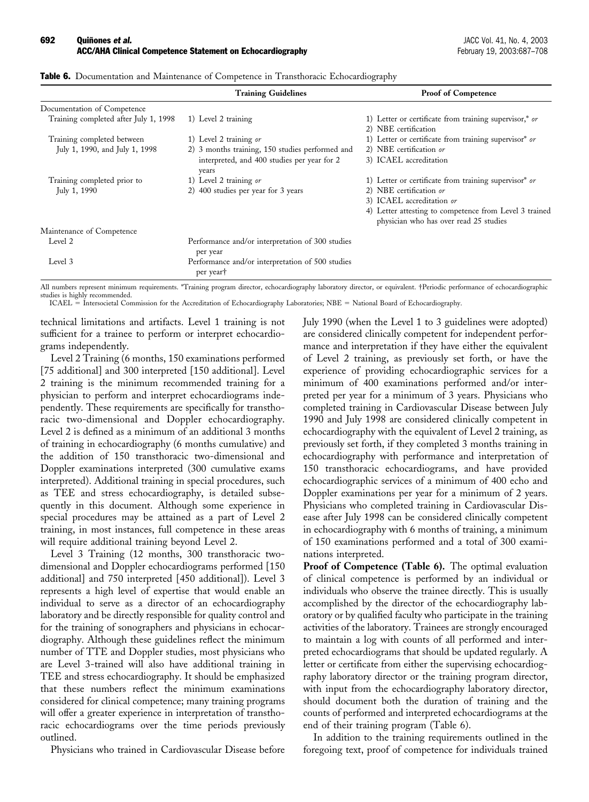#### <span id="page-5-0"></span>G92 **Quiñones** *et al.*<br> **ACC/AHA Clinical Competence Statement on Echocardiography Constantion Computer Statement on Echocardiography** ACC/AHA Clinical Competence Statement on Echocardiography

|                                       | <b>Training Guidelines</b>                                                | <b>Proof of Competence</b>                                                     |
|---------------------------------------|---------------------------------------------------------------------------|--------------------------------------------------------------------------------|
| Documentation of Competence           |                                                                           |                                                                                |
| Training completed after July 1, 1998 | 1) Level 2 training                                                       | 1) Letter or certificate from training supervisor,* or<br>2) NBE certification |
| Training completed between            | 1) Level 2 training or                                                    | 1) Letter or certificate from training supervisor <sup>*</sup> or              |
| July 1, 1990, and July 1, 1998        | 2) 3 months training, 150 studies performed and                           | 2) NBE certification or                                                        |
|                                       | interpreted, and 400 studies per year for 2<br>years                      | 3) ICAEL accreditation                                                         |
| Training completed prior to           | 1) Level 2 training or                                                    | 1) Letter or certificate from training supervisor <sup>*</sup> or              |
| July 1, 1990                          | 2) 400 studies per year for 3 years                                       | 2) NBE certification or                                                        |
|                                       |                                                                           | 3) ICAEL accreditation or                                                      |
|                                       |                                                                           | 4) Letter attesting to competence from Level 3 trained                         |
|                                       |                                                                           | physician who has over read 25 studies                                         |
| Maintenance of Competence             |                                                                           |                                                                                |
| Level 2                               | Performance and/or interpretation of 300 studies                          |                                                                                |
|                                       | per year                                                                  |                                                                                |
| Level 3                               | Performance and/or interpretation of 500 studies<br>per year <sup>†</sup> |                                                                                |
|                                       |                                                                           |                                                                                |

Table 6. Documentation and Maintenance of Competence in Transthoracic Echocardiography

All numbers represent minimum requirements. \*Training program director, echocardiography laboratory director, or equivalent. †Periodic performance of echocardiographic studies is highly recommended.

ICAEL = Intersocietal Commission for the Accreditation of Echocardiography Laboratories; NBE = National Board of Echocardiography.

technical limitations and artifacts. Level 1 training is not sufficient for a trainee to perform or interpret echocardiograms independently.

Level 2 Training (6 months, 150 examinations performed [75 additional] and 300 interpreted [150 additional]. Level 2 training is the minimum recommended training for a physician to perform and interpret echocardiograms independently. These requirements are specifically for transthoracic two-dimensional and Doppler echocardiography. Level 2 is defined as a minimum of an additional 3 months of training in echocardiography (6 months cumulative) and the addition of 150 transthoracic two-dimensional and Doppler examinations interpreted (300 cumulative exams interpreted). Additional training in special procedures, such as TEE and stress echocardiography, is detailed subsequently in this document. Although some experience in special procedures may be attained as a part of Level 2 training, in most instances, full competence in these areas will require additional training beyond Level 2.

Level 3 Training (12 months, 300 transthoracic twodimensional and Doppler echocardiograms performed [150 additional] and 750 interpreted [450 additional]). Level 3 represents a high level of expertise that would enable an individual to serve as a director of an echocardiography laboratory and be directly responsible for quality control and for the training of sonographers and physicians in echocardiography. Although these guidelines reflect the minimum number of TTE and Doppler studies, most physicians who are Level 3-trained will also have additional training in TEE and stress echocardiography. It should be emphasized that these numbers reflect the minimum examinations considered for clinical competence; many training programs will offer a greater experience in interpretation of transthoracic echocardiograms over the time periods previously outlined.

Physicians who trained in Cardiovascular Disease before

July 1990 (when the Level 1 to 3 guidelines were adopted) are considered clinically competent for independent performance and interpretation if they have either the equivalent of Level 2 training, as previously set forth, or have the experience of providing echocardiographic services for a minimum of 400 examinations performed and/or interpreted per year for a minimum of 3 years. Physicians who completed training in Cardiovascular Disease between July 1990 and July 1998 are considered clinically competent in echocardiography with the equivalent of Level 2 training, as previously set forth, if they completed 3 months training in echocardiography with performance and interpretation of 150 transthoracic echocardiograms, and have provided echocardiographic services of a minimum of 400 echo and Doppler examinations per year for a minimum of 2 years. Physicians who completed training in Cardiovascular Disease after July 1998 can be considered clinically competent in echocardiography with 6 months of training, a minimum of 150 examinations performed and a total of 300 examinations interpreted.

**Proof of Competence (Table 6).** The optimal evaluation of clinical competence is performed by an individual or individuals who observe the trainee directly. This is usually accomplished by the director of the echocardiography laboratory or by qualified faculty who participate in the training activities of the laboratory. Trainees are strongly encouraged to maintain a log with counts of all performed and interpreted echocardiograms that should be updated regularly. A letter or certificate from either the supervising echocardiography laboratory director or the training program director, with input from the echocardiography laboratory director, should document both the duration of training and the counts of performed and interpreted echocardiograms at the end of their training program (Table 6).

In addition to the training requirements outlined in the foregoing text, proof of competence for individuals trained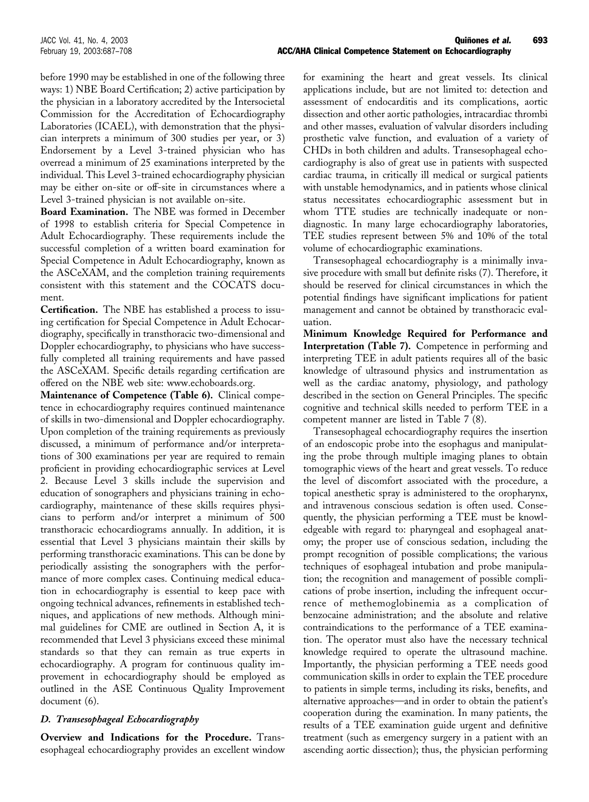before 1990 may be established in one of the following three ways: 1) NBE Board Certification; 2) active participation by the physician in a laboratory accredited by the Intersocietal Commission for the Accreditation of Echocardiography Laboratories (ICAEL), with demonstration that the physician interprets a minimum of 300 studies per year, or 3) Endorsement by a Level 3-trained physician who has overread a minimum of 25 examinations interpreted by the individual. This Level 3-trained echocardiography physician may be either on-site or off-site in circumstances where a Level 3-trained physician is not available on-site.

**Board Examination.** The NBE was formed in December of 1998 to establish criteria for Special Competence in Adult Echocardiography. These requirements include the successful completion of a written board examination for Special Competence in Adult Echocardiography, known as the ASCeXAM, and the completion training requirements consistent with this statement and the COCATS document.

**Certification.** The NBE has established a process to issuing certification for Special Competence in Adult Echocardiography, specifically in transthoracic two-dimensional and Doppler echocardiography, to physicians who have successfully completed all training requirements and have passed the ASCeXAM. Specific details regarding certification are offered on the NBE web site: www.echoboards.org.

**Maintenance of Competence [\(Table 6\)](#page-5-0).** Clinical competence in echocardiography requires continued maintenance of skills in two-dimensional and Doppler echocardiography. Upon completion of the training requirements as previously discussed, a minimum of performance and/or interpretations of 300 examinations per year are required to remain proficient in providing echocardiographic services at Level 2. Because Level 3 skills include the supervision and education of sonographers and physicians training in echocardiography, maintenance of these skills requires physicians to perform and/or interpret a minimum of 500 transthoracic echocardiograms annually. In addition, it is essential that Level 3 physicians maintain their skills by performing transthoracic examinations. This can be done by periodically assisting the sonographers with the performance of more complex cases. Continuing medical education in echocardiography is essential to keep pace with ongoing technical advances, refinements in established techniques, and applications of new methods. Although minimal guidelines for CME are outlined in Section A, it is recommended that Level 3 physicians exceed these minimal standards so that they can remain as true experts in echocardiography. A program for continuous quality improvement in echocardiography should be employed as outlined in the ASE Continuous Quality Improvement document [\(6\).](#page-21-0)

# *D. Transesophageal Echocardiography*

**Overview and Indications for the Procedure.** Transesophageal echocardiography provides an excellent window for examining the heart and great vessels. Its clinical applications include, but are not limited to: detection and assessment of endocarditis and its complications, aortic dissection and other aortic pathologies, intracardiac thrombi and other masses, evaluation of valvular disorders including prosthetic valve function, and evaluation of a variety of CHDs in both children and adults. Transesophageal echocardiography is also of great use in patients with suspected cardiac trauma, in critically ill medical or surgical patients with unstable hemodynamics, and in patients whose clinical status necessitates echocardiographic assessment but in whom TTE studies are technically inadequate or nondiagnostic. In many large echocardiography laboratories, TEE studies represent between 5% and 10% of the total volume of echocardiographic examinations.

Transesophageal echocardiography is a minimally invasive procedure with small but definite risks [\(7\).](#page-21-0) Therefore, it should be reserved for clinical circumstances in which the potential findings have significant implications for patient management and cannot be obtained by transthoracic evaluation.

**Minimum Knowledge Required for Performance and Interpretation [\(Table 7\).](#page-7-0)** Competence in performing and interpreting TEE in adult patients requires all of the basic knowledge of ultrasound physics and instrumentation as well as the cardiac anatomy, physiology, and pathology described in the section on General Principles. The specific cognitive and technical skills needed to perform TEE in a competent manner are listed in [Table 7](#page-7-0) [\(8\)](#page-21-0).

Transesophageal echocardiography requires the insertion of an endoscopic probe into the esophagus and manipulating the probe through multiple imaging planes to obtain tomographic views of the heart and great vessels. To reduce the level of discomfort associated with the procedure, a topical anesthetic spray is administered to the oropharynx, and intravenous conscious sedation is often used. Consequently, the physician performing a TEE must be knowledgeable with regard to: pharyngeal and esophageal anatomy; the proper use of conscious sedation, including the prompt recognition of possible complications; the various techniques of esophageal intubation and probe manipulation; the recognition and management of possible complications of probe insertion, including the infrequent occurrence of methemoglobinemia as a complication of benzocaine administration; and the absolute and relative contraindications to the performance of a TEE examination. The operator must also have the necessary technical knowledge required to operate the ultrasound machine. Importantly, the physician performing a TEE needs good communication skills in order to explain the TEE procedure to patients in simple terms, including its risks, benefits, and alternative approaches—and in order to obtain the patient's cooperation during the examination. In many patients, the results of a TEE examination guide urgent and definitive treatment (such as emergency surgery in a patient with an ascending aortic dissection); thus, the physician performing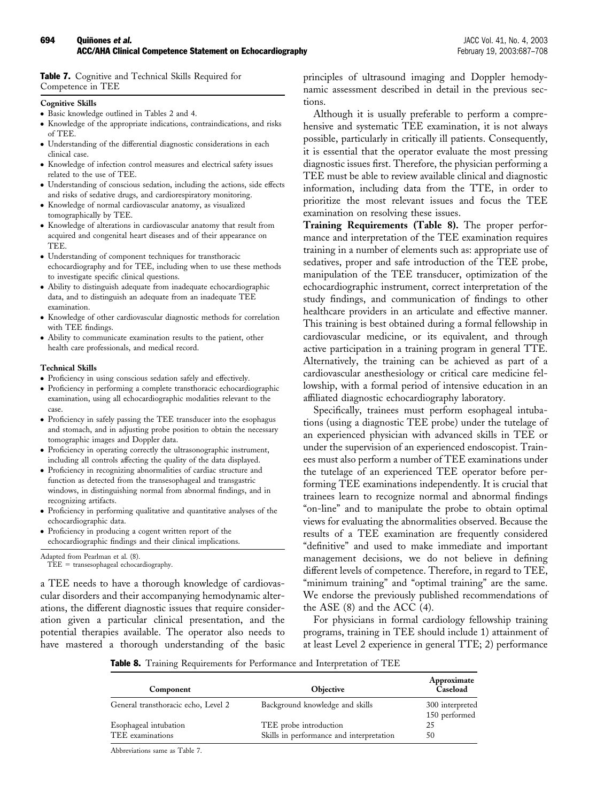#### <span id="page-7-0"></span>Table 7. Cognitive and Technical Skills Required for Competence in TEE

#### **Cognitive Skills**

- Basic knowledge outlined in Tables 2 and 4.
- Knowledge of the appropriate indications, contraindications, and risks of TEE.
- Understanding of the differential diagnostic considerations in each clinical case.
- Knowledge of infection control measures and electrical safety issues related to the use of TEE.
- Understanding of conscious sedation, including the actions, side effects and risks of sedative drugs, and cardiorespiratory monitoring.
- Knowledge of normal cardiovascular anatomy, as visualized tomographically by TEE.
- Knowledge of alterations in cardiovascular anatomy that result from acquired and congenital heart diseases and of their appearance on TEE.
- Understanding of component techniques for transthoracic echocardiography and for TEE, including when to use these methods to investigate specific clinical questions.
- Ability to distinguish adequate from inadequate echocardiographic data, and to distinguish an adequate from an inadequate TEE examination.
- Knowledge of other cardiovascular diagnostic methods for correlation with TEE findings.
- Ability to communicate examination results to the patient, other health care professionals, and medical record.

#### **Technical Skills**

- Proficiency in using conscious sedation safely and effectively.
- Proficiency in performing a complete transthoracic echocardiographic examination, using all echocardiographic modalities relevant to the case.
- Proficiency in safely passing the TEE transducer into the esophagus and stomach, and in adjusting probe position to obtain the necessary tomographic images and Doppler data.
- Proficiency in operating correctly the ultrasonographic instrument, including all controls affecting the quality of the data displayed.
- Proficiency in recognizing abnormalities of cardiac structure and function as detected from the transesophageal and transgastric windows, in distinguishing normal from abnormal findings, and in recognizing artifacts.
- Proficiency in performing qualitative and quantitative analyses of the echocardiographic data.
- Proficiency in producing a cogent written report of the echocardiographic findings and their clinical implications.

Adapted from Pearlman et al. [\(8\).](#page-21-0)

 $\text{TEE} = \text{transesophaged}$  echocardiography.

a TEE needs to have a thorough knowledge of cardiovascular disorders and their accompanying hemodynamic alterations, the different diagnostic issues that require consideration given a particular clinical presentation, and the potential therapies available. The operator also needs to have mastered a thorough understanding of the basic principles of ultrasound imaging and Doppler hemodynamic assessment described in detail in the previous sections.

Although it is usually preferable to perform a comprehensive and systematic TEE examination, it is not always possible, particularly in critically ill patients. Consequently, it is essential that the operator evaluate the most pressing diagnostic issues first. Therefore, the physician performing a TEE must be able to review available clinical and diagnostic information, including data from the TTE, in order to prioritize the most relevant issues and focus the TEE examination on resolving these issues.

**Training Requirements (Table 8).** The proper performance and interpretation of the TEE examination requires training in a number of elements such as: appropriate use of sedatives, proper and safe introduction of the TEE probe, manipulation of the TEE transducer, optimization of the echocardiographic instrument, correct interpretation of the study findings, and communication of findings to other healthcare providers in an articulate and effective manner. This training is best obtained during a formal fellowship in cardiovascular medicine, or its equivalent, and through active participation in a training program in general TTE. Alternatively, the training can be achieved as part of a cardiovascular anesthesiology or critical care medicine fellowship, with a formal period of intensive education in an affiliated diagnostic echocardiography laboratory.

Specifically, trainees must perform esophageal intubations (using a diagnostic TEE probe) under the tutelage of an experienced physician with advanced skills in TEE or under the supervision of an experienced endoscopist. Trainees must also perform a number of TEE examinations under the tutelage of an experienced TEE operator before performing TEE examinations independently. It is crucial that trainees learn to recognize normal and abnormal findings "on-line" and to manipulate the probe to obtain optimal views for evaluating the abnormalities observed. Because the results of a TEE examination are frequently considered "definitive" and used to make immediate and important management decisions, we do not believe in defining different levels of competence. Therefore, in regard to TEE, "minimum training" and "optimal training" are the same. We endorse the previously published recommendations of the ASE [\(8\)](#page-21-0) and the ACC [\(4\)](#page-21-0).

For physicians in formal cardiology fellowship training programs, training in TEE should include 1) attainment of at least Level 2 experience in general TTE; 2) performance

Table 8. Training Requirements for Performance and Interpretation of TEE

| Component                                 | <b>Objective</b>                                                   | Approximate<br>Caseload          |
|-------------------------------------------|--------------------------------------------------------------------|----------------------------------|
| General transthoracic echo, Level 2       | Background knowledge and skills                                    | 300 interpreted<br>150 performed |
| Esophageal intubation<br>TEE examinations | TEE probe introduction<br>Skills in performance and interpretation | 25<br>50                         |

Abbreviations same as Table 7.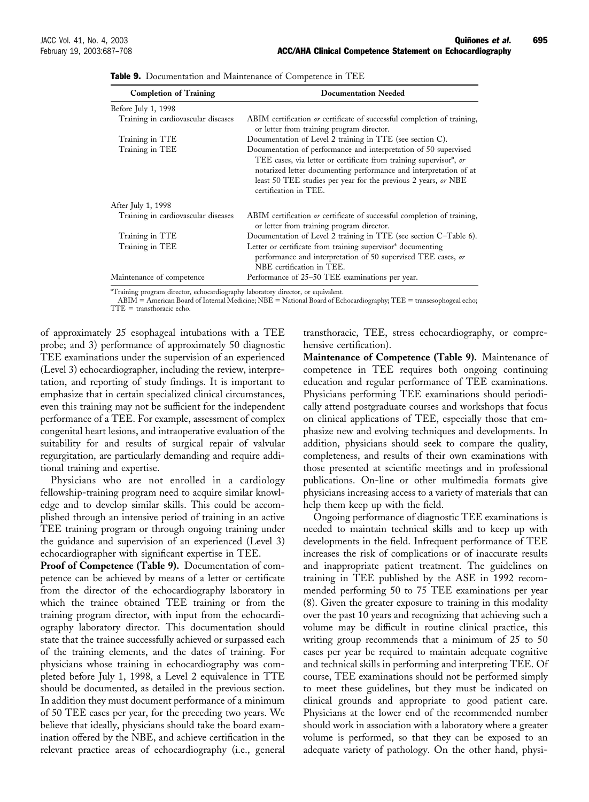| <b>Completion of Training</b>       | <b>Documentation Needed</b>                                                                                                                                                                                                                                                                            |  |
|-------------------------------------|--------------------------------------------------------------------------------------------------------------------------------------------------------------------------------------------------------------------------------------------------------------------------------------------------------|--|
| Before July 1, 1998                 |                                                                                                                                                                                                                                                                                                        |  |
| Training in cardiovascular diseases | ABIM certification <i>or</i> certificate of successful completion of training,<br>or letter from training program director.                                                                                                                                                                            |  |
| Training in TTE                     | Documentation of Level 2 training in TTE (see section C).                                                                                                                                                                                                                                              |  |
| Training in TEE                     | Documentation of performance and interpretation of 50 supervised<br>TEE cases, via letter or certificate from training supervisor*, or<br>notarized letter documenting performance and interpretation of at<br>least 50 TEE studies per year for the previous 2 years, or NBE<br>certification in TEE. |  |
| After July 1, 1998                  |                                                                                                                                                                                                                                                                                                        |  |
| Training in cardiovascular diseases | ABIM certification or certificate of successful completion of training,<br>or letter from training program director.                                                                                                                                                                                   |  |
| Training in TTE                     | Documentation of Level 2 training in TTE (see section C-Table 6).                                                                                                                                                                                                                                      |  |
| Training in TEE                     | Letter or certificate from training supervisor* documenting<br>performance and interpretation of 50 supervised TEE cases, or<br>NBE certification in TEE.                                                                                                                                              |  |
| Maintenance of competence           | Performance of 25–50 TEE examinations per year.                                                                                                                                                                                                                                                        |  |

| <b>Table 9.</b> Documentation and Maintenance of Competence in TEE |  |  |  |
|--------------------------------------------------------------------|--|--|--|
|                                                                    |  |  |  |

\*Training program director, echocardiography laboratory director, or equivalent.

 $ABIM =$  American Board of Internal Medicine; NBE = National Board of Echocardiography; TEE = transesophogeal echo;  $TTE =$  transthoracic echo.

of approximately 25 esophageal intubations with a TEE probe; and 3) performance of approximately 50 diagnostic TEE examinations under the supervision of an experienced (Level 3) echocardiographer, including the review, interpretation, and reporting of study findings. It is important to emphasize that in certain specialized clinical circumstances, even this training may not be sufficient for the independent performance of a TEE. For example, assessment of complex congenital heart lesions, and intraoperative evaluation of the suitability for and results of surgical repair of valvular regurgitation, are particularly demanding and require additional training and expertise.

Physicians who are not enrolled in a cardiology fellowship-training program need to acquire similar knowledge and to develop similar skills. This could be accomplished through an intensive period of training in an active TEE training program or through ongoing training under the guidance and supervision of an experienced (Level 3) echocardiographer with significant expertise in TEE.

**Proof of Competence (Table 9).** Documentation of competence can be achieved by means of a letter or certificate from the director of the echocardiography laboratory in which the trainee obtained TEE training or from the training program director, with input from the echocardiography laboratory director. This documentation should state that the trainee successfully achieved or surpassed each of the training elements, and the dates of training. For physicians whose training in echocardiography was completed before July 1, 1998, a Level 2 equivalence in TTE should be documented, as detailed in the previous section. In addition they must document performance of a minimum of 50 TEE cases per year, for the preceding two years. We believe that ideally, physicians should take the board examination offered by the NBE, and achieve certification in the relevant practice areas of echocardiography (i.e., general

transthoracic, TEE, stress echocardiography, or comprehensive certification).

**Maintenance of Competence (Table 9).** Maintenance of competence in TEE requires both ongoing continuing education and regular performance of TEE examinations. Physicians performing TEE examinations should periodically attend postgraduate courses and workshops that focus on clinical applications of TEE, especially those that emphasize new and evolving techniques and developments. In addition, physicians should seek to compare the quality, completeness, and results of their own examinations with those presented at scientific meetings and in professional publications. On-line or other multimedia formats give physicians increasing access to a variety of materials that can help them keep up with the field.

Ongoing performance of diagnostic TEE examinations is needed to maintain technical skills and to keep up with developments in the field. Infrequent performance of TEE increases the risk of complications or of inaccurate results and inappropriate patient treatment. The guidelines on training in TEE published by the ASE in 1992 recommended performing 50 to 75 TEE examinations per year [\(8\)](#page-21-0). Given the greater exposure to training in this modality over the past 10 years and recognizing that achieving such a volume may be difficult in routine clinical practice, this writing group recommends that a minimum of 25 to 50 cases per year be required to maintain adequate cognitive and technical skills in performing and interpreting TEE. Of course, TEE examinations should not be performed simply to meet these guidelines, but they must be indicated on clinical grounds and appropriate to good patient care. Physicians at the lower end of the recommended number should work in association with a laboratory where a greater volume is performed, so that they can be exposed to an adequate variety of pathology. On the other hand, physi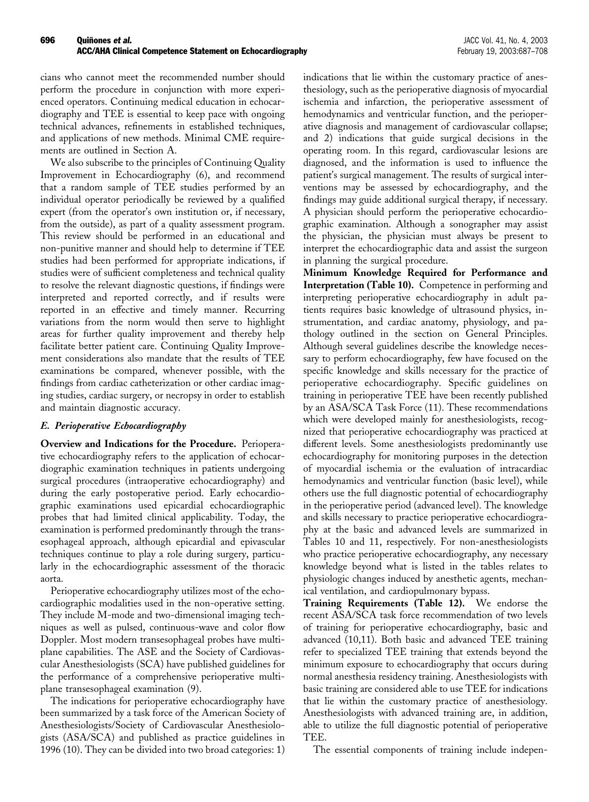cians who cannot meet the recommended number should perform the procedure in conjunction with more experienced operators. Continuing medical education in echocardiography and TEE is essential to keep pace with ongoing technical advances, refinements in established techniques, and applications of new methods. Minimal CME requirements are outlined in Section A.

We also subscribe to the principles of Continuing Quality Improvement in Echocardiography [\(6\),](#page-21-0) and recommend that a random sample of TEE studies performed by an individual operator periodically be reviewed by a qualified expert (from the operator's own institution or, if necessary, from the outside), as part of a quality assessment program. This review should be performed in an educational and non-punitive manner and should help to determine if TEE studies had been performed for appropriate indications, if studies were of sufficient completeness and technical quality to resolve the relevant diagnostic questions, if findings were interpreted and reported correctly, and if results were reported in an effective and timely manner. Recurring variations from the norm would then serve to highlight areas for further quality improvement and thereby help facilitate better patient care. Continuing Quality Improvement considerations also mandate that the results of TEE examinations be compared, whenever possible, with the findings from cardiac catheterization or other cardiac imaging studies, cardiac surgery, or necropsy in order to establish and maintain diagnostic accuracy.

# *E. Perioperative Echocardiography*

**Overview and Indications for the Procedure.** Perioperative echocardiography refers to the application of echocardiographic examination techniques in patients undergoing surgical procedures (intraoperative echocardiography) and during the early postoperative period. Early echocardiographic examinations used epicardial echocardiographic probes that had limited clinical applicability. Today, the examination is performed predominantly through the transesophageal approach, although epicardial and epivascular techniques continue to play a role during surgery, particularly in the echocardiographic assessment of the thoracic aorta.

Perioperative echocardiography utilizes most of the echocardiographic modalities used in the non-operative setting. They include M-mode and two-dimensional imaging techniques as well as pulsed, continuous-wave and color flow Doppler. Most modern transesophageal probes have multiplane capabilities. The ASE and the Society of Cardiovascular Anesthesiologists (SCA) have published guidelines for the performance of a comprehensive perioperative multiplane transesophageal examination [\(9\)](#page-21-0).

The indications for perioperative echocardiography have been summarized by a task force of the American Society of Anesthesiologists/Society of Cardiovascular Anesthesiologists (ASA/SCA) and published as practice guidelines in 1996 [\(10\).](#page-21-0) They can be divided into two broad categories: 1)

indications that lie within the customary practice of anesthesiology, such as the perioperative diagnosis of myocardial ischemia and infarction, the perioperative assessment of hemodynamics and ventricular function, and the perioperative diagnosis and management of cardiovascular collapse; and 2) indications that guide surgical decisions in the operating room. In this regard, cardiovascular lesions are diagnosed, and the information is used to influence the patient's surgical management. The results of surgical interventions may be assessed by echocardiography, and the findings may guide additional surgical therapy, if necessary. A physician should perform the perioperative echocardiographic examination. Although a sonographer may assist the physician, the physician must always be present to interpret the echocardiographic data and assist the surgeon in planning the surgical procedure.

**Minimum Knowledge Required for Performance and Interpretation [\(Table 10\).](#page-10-0)** Competence in performing and interpreting perioperative echocardiography in adult patients requires basic knowledge of ultrasound physics, instrumentation, and cardiac anatomy, physiology, and pathology outlined in the section on General Principles. Although several guidelines describe the knowledge necessary to perform echocardiography, few have focused on the specific knowledge and skills necessary for the practice of perioperative echocardiography. Specific guidelines on training in perioperative TEE have been recently published by an ASA/SCA Task Force [\(11\).](#page-21-0) These recommendations which were developed mainly for anesthesiologists, recognized that perioperative echocardiography was practiced at different levels. Some anesthesiologists predominantly use echocardiography for monitoring purposes in the detection of myocardial ischemia or the evaluation of intracardiac hemodynamics and ventricular function (basic level), while others use the full diagnostic potential of echocardiography in the perioperative period (advanced level). The knowledge and skills necessary to practice perioperative echocardiography at the basic and advanced levels are summarized in [Tables 10](#page-10-0) and [11](#page-10-0), respectively. For non-anesthesiologists who practice perioperative echocardiography, any necessary knowledge beyond what is listed in the tables relates to physiologic changes induced by anesthetic agents, mechanical ventilation, and cardiopulmonary bypass.

**Training Requirements [\(Table 12\).](#page-11-0)** We endorse the recent ASA/SCA task force recommendation of two levels of training for perioperative echocardiography, basic and advanced [\(10,11\).](#page-21-0) Both basic and advanced TEE training refer to specialized TEE training that extends beyond the minimum exposure to echocardiography that occurs during normal anesthesia residency training. Anesthesiologists with basic training are considered able to use TEE for indications that lie within the customary practice of anesthesiology. Anesthesiologists with advanced training are, in addition, able to utilize the full diagnostic potential of perioperative TEE.

The essential components of training include indepen-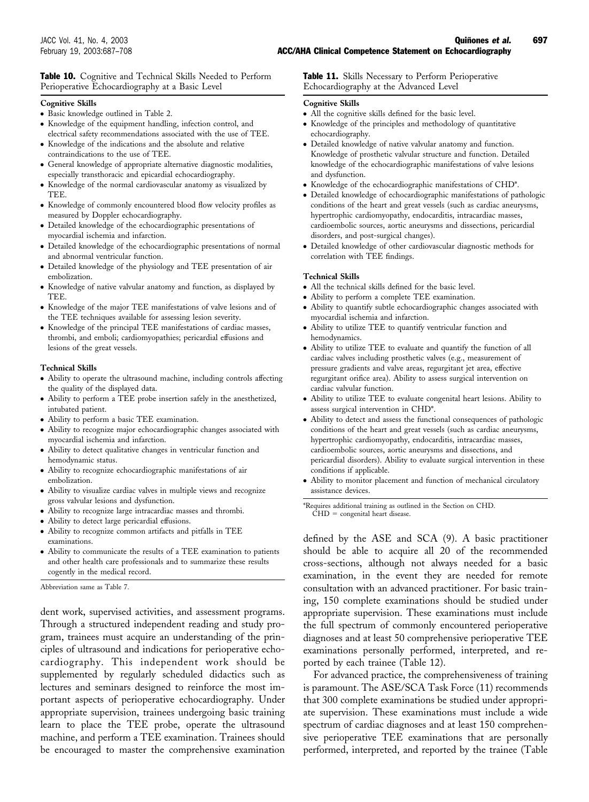#### <span id="page-10-0"></span>Table 10. Cognitive and Technical Skills Needed to Perform Perioperative Echocardiography at a Basic Level

#### **Cognitive Skills**

- Basic knowledge outlined in Table 2.
- Knowledge of the equipment handling, infection control, and electrical safety recommendations associated with the use of TEE.
- Knowledge of the indications and the absolute and relative contraindications to the use of TEE.
- General knowledge of appropriate alternative diagnostic modalities, especially transthoracic and epicardial echocardiography.
- Knowledge of the normal cardiovascular anatomy as visualized by TEE.
- Knowledge of commonly encountered blood flow velocity profiles as measured by Doppler echocardiography.
- Detailed knowledge of the echocardiographic presentations of myocardial ischemia and infarction.
- Detailed knowledge of the echocardiographic presentations of normal and abnormal ventricular function.
- Detailed knowledge of the physiology and TEE presentation of air embolization.
- Knowledge of native valvular anatomy and function, as displayed by TEE.
- Knowledge of the major TEE manifestations of valve lesions and of the TEE techniques available for assessing lesion severity.
- Knowledge of the principal TEE manifestations of cardiac masses, thrombi, and emboli; cardiomyopathies; pericardial effusions and lesions of the great vessels.

#### **Technical Skills**

- Ability to operate the ultrasound machine, including controls affecting the quality of the displayed data.
- Ability to perform a TEE probe insertion safely in the anesthetized, intubated patient.
- Ability to perform a basic TEE examination.
- Ability to recognize major echocardiographic changes associated with myocardial ischemia and infarction.
- Ability to detect qualitative changes in ventricular function and hemodynamic status.
- Ability to recognize echocardiographic manifestations of air embolization.
- Ability to visualize cardiac valves in multiple views and recognize gross valvular lesions and dysfunction.
- Ability to recognize large intracardiac masses and thrombi.
- Ability to detect large pericardial effusions.
- Ability to recognize common artifacts and pitfalls in TEE examinations.
- Ability to communicate the results of a TEE examination to patients and other health care professionals and to summarize these results cogently in the medical record.

Abbreviation same as [Table 7](#page-7-0).

dent work, supervised activities, and assessment programs. Through a structured independent reading and study program, trainees must acquire an understanding of the principles of ultrasound and indications for perioperative echocardiography. This independent work should be supplemented by regularly scheduled didactics such as lectures and seminars designed to reinforce the most important aspects of perioperative echocardiography. Under appropriate supervision, trainees undergoing basic training learn to place the TEE probe, operate the ultrasound machine, and perform a TEE examination. Trainees should be encouraged to master the comprehensive examination

#### Table 11. Skills Necessary to Perform Perioperative Echocardiography at the Advanced Level

#### **Cognitive Skills**

- All the cognitive skills defined for the basic level.
- Knowledge of the principles and methodology of quantitative echocardiography.
- Detailed knowledge of native valvular anatomy and function. Knowledge of prosthetic valvular structure and function. Detailed knowledge of the echocardiographic manifestations of valve lesions and dysfunction.
- Knowledge of the echocardiographic manifestations of CHD\*.
- Detailed knowledge of echocardiographic manifestations of pathologic conditions of the heart and great vessels (such as cardiac aneurysms, hypertrophic cardiomyopathy, endocarditis, intracardiac masses, cardioembolic sources, aortic aneurysms and dissections, pericardial disorders, and post-surgical changes).
- Detailed knowledge of other cardiovascular diagnostic methods for correlation with TEE findings.

#### **Technical Skills**

- All the technical skills defined for the basic level.
- Ability to perform a complete TEE examination.
- Ability to quantify subtle echocardiographic changes associated with myocardial ischemia and infarction.
- Ability to utilize TEE to quantify ventricular function and hemodynamics.
- Ability to utilize TEE to evaluate and quantify the function of all cardiac valves including prosthetic valves (e.g., measurement of pressure gradients and valve areas, regurgitant jet area, effective regurgitant orifice area). Ability to assess surgical intervention on cardiac valvular function.
- Ability to utilize TEE to evaluate congenital heart lesions. Ability to assess surgical intervention in CHD\*.
- Ability to detect and assess the functional consequences of pathologic conditions of the heart and great vessels (such as cardiac aneurysms, hypertrophic cardiomyopathy, endocarditis, intracardiac masses, cardioembolic sources, aortic aneurysms and dissections, and pericardial disorders). Ability to evaluate surgical intervention in these conditions if applicable.
- Ability to monitor placement and function of mechanical circulatory assistance devices.

\*Requires additional training as outlined in the Section on CHD.  $CHD =$  congenital heart disease.

defined by the ASE and SCA [\(9\)](#page-21-0). A basic practitioner should be able to acquire all 20 of the recommended cross-sections, although not always needed for a basic examination, in the event they are needed for remote consultation with an advanced practitioner. For basic training, 150 complete examinations should be studied under appropriate supervision. These examinations must include the full spectrum of commonly encountered perioperative diagnoses and at least 50 comprehensive perioperative TEE examinations personally performed, interpreted, and reported by each trainee [\(Table 12\)](#page-11-0).

For advanced practice, the comprehensiveness of training is paramount. The ASE/SCA Task Force [\(11\)](#page-21-0) recommends that 300 complete examinations be studied under appropriate supervision. These examinations must include a wide spectrum of cardiac diagnoses and at least 150 comprehensive perioperative TEE examinations that are personally performed, interpreted, and reported by the trainee (Table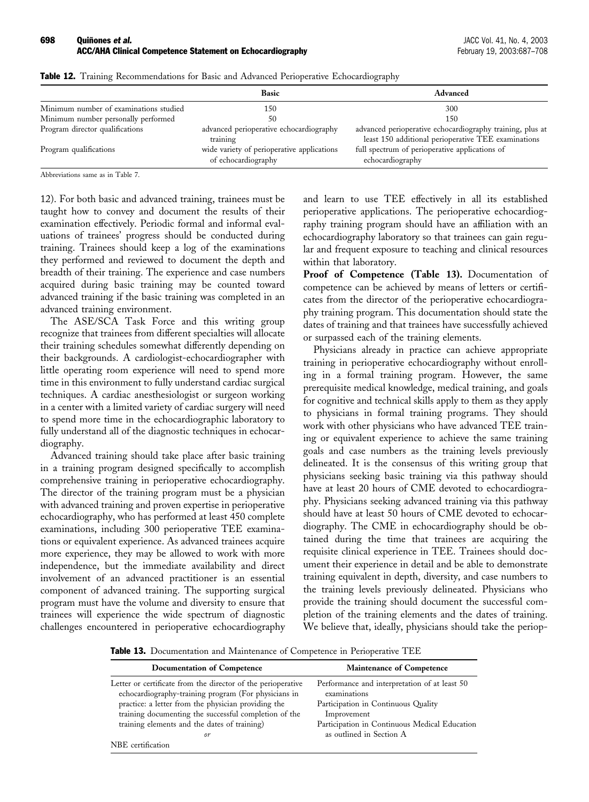|                                        | Basic                                                             | Advanced                                                                                                         |
|----------------------------------------|-------------------------------------------------------------------|------------------------------------------------------------------------------------------------------------------|
| Minimum number of examinations studied | 150                                                               | 300                                                                                                              |
| Minimum number personally performed    | 50                                                                | 150                                                                                                              |
| Program director qualifications        | advanced perioperative echocardiography<br>training               | advanced perioperative echocardiography training, plus at<br>least 150 additional perioperative TEE examinations |
| Program qualifications                 | wide variety of perioperative applications<br>of echocardiography | full spectrum of perioperative applications of<br>echocardiography                                               |

<span id="page-11-0"></span>**Table 12.** Training Recommendations for Basic and Advanced Perioperative Echocardiography

Abbreviations same as in [Table 7](#page-7-0).

12). For both basic and advanced training, trainees must be taught how to convey and document the results of their examination effectively. Periodic formal and informal evaluations of trainees' progress should be conducted during training. Trainees should keep a log of the examinations they performed and reviewed to document the depth and breadth of their training. The experience and case numbers acquired during basic training may be counted toward advanced training if the basic training was completed in an advanced training environment.

The ASE/SCA Task Force and this writing group recognize that trainees from different specialties will allocate their training schedules somewhat differently depending on their backgrounds. A cardiologist-echocardiographer with little operating room experience will need to spend more time in this environment to fully understand cardiac surgical techniques. A cardiac anesthesiologist or surgeon working in a center with a limited variety of cardiac surgery will need to spend more time in the echocardiographic laboratory to fully understand all of the diagnostic techniques in echocardiography.

Advanced training should take place after basic training in a training program designed specifically to accomplish comprehensive training in perioperative echocardiography. The director of the training program must be a physician with advanced training and proven expertise in perioperative echocardiography, who has performed at least 450 complete examinations, including 300 perioperative TEE examinations or equivalent experience. As advanced trainees acquire more experience, they may be allowed to work with more independence, but the immediate availability and direct involvement of an advanced practitioner is an essential component of advanced training. The supporting surgical program must have the volume and diversity to ensure that trainees will experience the wide spectrum of diagnostic challenges encountered in perioperative echocardiography and learn to use TEE effectively in all its established perioperative applications. The perioperative echocardiography training program should have an affiliation with an echocardiography laboratory so that trainees can gain regular and frequent exposure to teaching and clinical resources within that laboratory.

**Proof of Competence (Table 13).** Documentation of competence can be achieved by means of letters or certificates from the director of the perioperative echocardiography training program. This documentation should state the dates of training and that trainees have successfully achieved or surpassed each of the training elements.

Physicians already in practice can achieve appropriate training in perioperative echocardiography without enrolling in a formal training program. However, the same prerequisite medical knowledge, medical training, and goals for cognitive and technical skills apply to them as they apply to physicians in formal training programs. They should work with other physicians who have advanced TEE training or equivalent experience to achieve the same training goals and case numbers as the training levels previously delineated. It is the consensus of this writing group that physicians seeking basic training via this pathway should have at least 20 hours of CME devoted to echocardiography. Physicians seeking advanced training via this pathway should have at least 50 hours of CME devoted to echocardiography. The CME in echocardiography should be obtained during the time that trainees are acquiring the requisite clinical experience in TEE. Trainees should document their experience in detail and be able to demonstrate training equivalent in depth, diversity, and case numbers to the training levels previously delineated. Physicians who provide the training should document the successful completion of the training elements and the dates of training. We believe that, ideally, physicians should take the periop-

Table 13. Documentation and Maintenance of Competence in Perioperative TEE

| <b>Documentation of Competence</b>                                                                                                                                                                                                                                                                              | <b>Maintenance of Competence</b>                                                                                                                                                                 |
|-----------------------------------------------------------------------------------------------------------------------------------------------------------------------------------------------------------------------------------------------------------------------------------------------------------------|--------------------------------------------------------------------------------------------------------------------------------------------------------------------------------------------------|
| Letter or certificate from the director of the perioperative<br>echocardiography-training program (For physicians in<br>practice: a letter from the physician providing the<br>training documenting the successful completion of the<br>training elements and the dates of training)<br>or<br>NBE certification | Performance and interpretation of at least 50<br>examinations<br>Participation in Continuous Quality<br>Improvement<br>Participation in Continuous Medical Education<br>as outlined in Section A |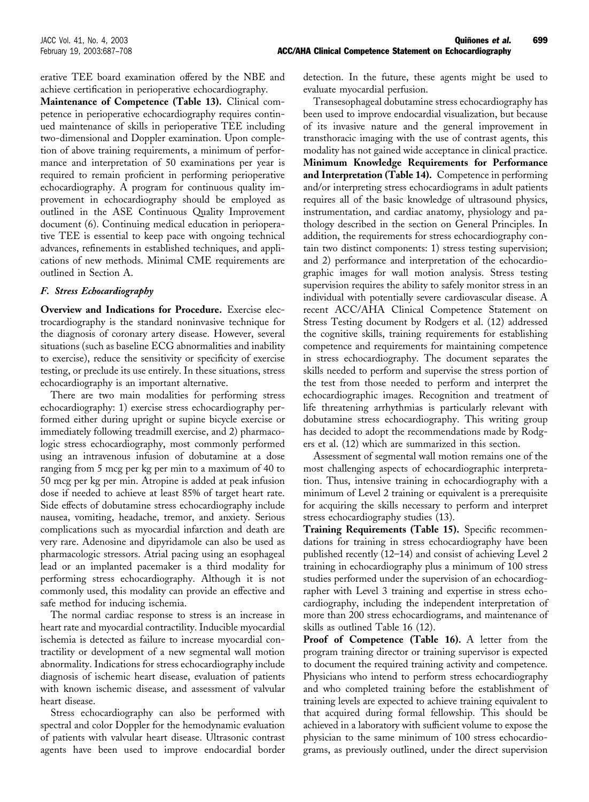erative TEE board examination offered by the NBE and achieve certification in perioperative echocardiography.

**Maintenance of Competence [\(Table 13\).](#page-11-0)** Clinical competence in perioperative echocardiography requires continued maintenance of skills in perioperative TEE including two-dimensional and Doppler examination. Upon completion of above training requirements, a minimum of performance and interpretation of 50 examinations per year is required to remain proficient in performing perioperative echocardiography. A program for continuous quality improvement in echocardiography should be employed as outlined in the ASE Continuous Quality Improvement document [\(6\).](#page-21-0) Continuing medical education in perioperative TEE [is essential t](#page-11-0)o keep pace with ongoing technical advances, refinements in established techniques, and applications of new methods. Minimal CME requirements are outlined in Section A.

# *F. Stress Echocardiography*

**Overview and Indications for Procedure.** Exercise electrocardiography is the standard noninvasive technique for the diagnosis of coronary artery disease. However, several situations (such as baseline ECG abnormalities and inability to exercise), reduce the sensitivity or specificity of exercise testing, or preclude its use entirely. In these situations, stress echocardiography is an important alternative.

There are two main modalities for performing stress echocardiography: 1) exercise stress echocardiography performed either during upright or supine bicycle exercise or immediately following treadmill exercise, and 2) pharmacologic stress echocardiography, most commonly performed using an intravenous infusion of dobutamine at a dose ranging from 5 mcg per kg per min to a maximum of 40 to 50 mcg per kg per min. Atropine is added at peak infusion dose if needed to achieve at least 85% of target heart rate. Side effects of dobutamine stress echocardiography include nausea, vomiting, headache, tremor, and anxiety. Serious complications such as myocardial infarction and death are very rare. Adenosine and dipyridamole can also be used as pharmacologic stressors. Atrial pacing using an esophageal lead or an implanted pacemaker is a third modality for performing stress echocardiography. Although it is not commonly used, this modality can provide an effective and safe method for inducing ischemia.

The normal cardiac response to stress is an increase in heart rate and myocardial contractility. Inducible myocardial ischemia is detected as failure to increase myocardial contractility or development of a new segmental wall motion abnormality. Indications for stress echocardiography include diagnosis of ischemic heart disease, evaluation of patients with known ischemic disease, and assessment of valvular heart disease.

Stress echocardiography can also be performed with spectral and color Doppler for the hemodynamic evaluation of patients with valvular heart disease. Ultrasonic contrast agents have been used to improve endocardial border detection. In the future, these agents might be used to evaluate myocardial perfusion.

Transesophageal dobutamine stress echocardiography has been used to improve endocardial visualization, but because of its invasive nature and the general improvement in transthoracic imaging with the use of contrast agents, this modality has not gained wide acceptance in clinical practice. **Minimum Knowledge Requirements for Performance and Interpretation [\(Table 14\)](#page-13-0).** Competence in performing and/or interpreting stress echocardiograms in adult patients requires all of the basic knowledge of ultrasound physics, instrumentation, and cardiac anatomy, physiology and pathology described in the section on General Principles. In addition, the requirements for stress echocardiography contain two distinct components: 1) stress testing supervision; and 2) performance and interpretation of the echocardiographic images for wall motion analysis. Stress testing supervision requires the ability to safely monitor stress in an individual with potentially severe cardiovascular disease. A recent ACC/AHA Clinical Competence Statement on Stress Testing document by Rodgers et al. [\(12\)](#page-21-0) addressed the cognitive skills, training requirements for establishing competence and requirements for maintaining competence in stress echocardiography. The document separates the skills needed to perform and supervise the stress portion of the test from those needed to perform and interpret the echocardiographic images. Recognition and treatment of life threatening arrhythmias is particularly relevant with dobutamine stress echocardiography. This writing group has decided to adopt the recommendations made by Rodgers et al. [\(12\)](#page-21-0) which are summarized in this section.

Assessment of segmental wall motion remains one of the most challenging aspects of echocardiographic interpretation. Thus, intensive training in echocardiography with a minimum of Level 2 training or equivalent is a prerequisite for acquiring the skills necessary to perform and interpret stress echocardiography studies [\(13](#page-21-0)[\).](#page-13-0)

**Training Requirements [\(Table 15\)](#page-13-0).** Specific recommendations for training in stress echocardiography have been published recently [\(12–14\)](#page-21-0) and consist of achieving Level 2 training in echocardiography plus a minimum of 100 stress studies performed under the supervision of an echocardiographer with Level 3 training and expertise in stress echocardiography, including the independent interpretation of more than 200 stress echocardiograms, and maintenance of skills as outlined [Table 16](#page-13-0) [\(12\).](#page-21-0)

**Proof of Competence [\(Table 16\)](#page-13-0).** A letter from the program training director or training supervisor is expected to document the required training activity and competence. Physicians who intend to perform stress echocardiography and who completed training before the establishment of training levels are expected to achieve training equivalent to that acquired during formal fellowship. This should be achieved in a laboratory with sufficient volume to expose the physician to the same minimum of 100 stress echocardiograms, as previously outlined, under the direct supervision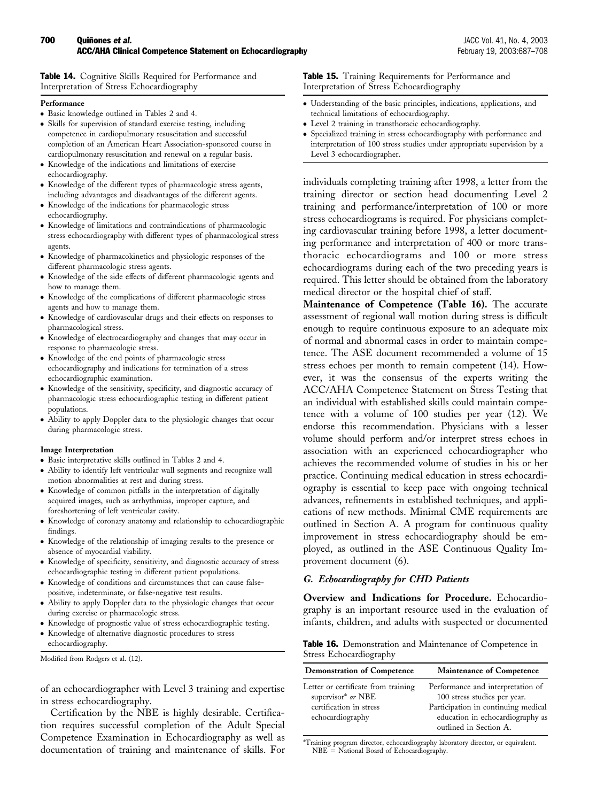<span id="page-13-0"></span>Table 14. Cognitive Skills Required for Performance and Interpretation of Stress Echocardiography

#### **Performance**

- Basic knowledge outlined in Tables 2 and 4.
- Skills for supervision of standard exercise testing, including competence in cardiopulmonary resuscitation and successful completion of an American Heart Association-sponsored course in cardiopulmonary resuscitation and renewal on a regular basis.
- Knowledge of the indications and limitations of exercise echocardiography.
- Knowledge of the different types of pharmacologic stress agents, including advantages and disadvantages of the different agents.
- Knowledge of the indications for pharmacologic stress echocardiography.
- Knowledge of limitations and contraindications of pharmacologic stress echocardiography with different types of pharmacological stress agents.
- Knowledge of pharmacokinetics and physiologic responses of the different pharmacologic stress agents.
- Knowledge of the side effects of different pharmacologic agents and how to manage them.
- Knowledge of the complications of different pharmacologic stress agents and how to manage them.
- Knowledge of cardiovascular drugs and their effects on responses to pharmacological stress.
- Knowledge of electrocardiography and changes that may occur in response to pharmacologic stress.
- Knowledge of the end points of pharmacologic stress echocardiography and indications for termination of a stress echocardiographic examination.
- Knowledge of the sensitivity, specificity, and diagnostic accuracy of pharmacologic stress echocardiographic testing in different patient populations.
- Ability to apply Doppler data to the physiologic changes that occur during pharmacologic stress.

#### **Image Interpretation**

- Basic interpretative skills outlined in Tables 2 and 4.
- Ability to identify left ventricular wall segments and recognize wall motion abnormalities at rest and during stress.
- Knowledge of common pitfalls in the interpretation of digitally acquired images, such as arrhythmias, improper capture, and foreshortening of left ventricular cavity.
- Knowledge of coronary anatomy and relationship to echocardiographic findings.
- Knowledge of the relationship of imaging results to the presence or absence of myocardial viability.
- Knowledge of specificity, sensitivity, and diagnostic accuracy of stress echocardiographic testing in different patient populations.
- Knowledge of conditions and circumstances that can cause falsepositive, indeterminate, or false-negative test results.
- Ability to apply Doppler data to the physiologic changes that occur during exercise or pharmacologic stress.
- Knowledge of prognostic value of stress echocardiographic testing.
- Knowledge of alternative diagnostic procedures to stress echocardiography.

Modified from Rodgers et al. (12).

of an echocardiographer with Level 3 training and expertise in stress echocardiography.

Certification by the NBE is highly desirable. Certification requires successful completion of the Adult Special Competence Examination in Echocardiography as well as documentation of training and maintenance of skills. For Table 15. Training Requirements for Performance and Interpretation of Stress Echocardiography

- Understanding of the basic principles, indications, applications, and technical limitations of echocardiography.
- Level 2 training in transthoracic echocardiography.
- Specialized training in stress echocardiography with performance and interpretation of 100 stress studies under appropriate supervision by a Level 3 echocardiographer.

individuals completing training after 1998, a letter from the training director or section head documenting Level 2 training and performance/interpretation of 100 or more stress echocardiograms is required. For physicians completing cardiovascular training before 1998, a letter documenting performance and interpretation of 400 or more transthoracic echocardiograms and 100 or more stress echocardiograms during each of the two preceding years is required. This letter should be obtained from the laboratory medical director or the hospital chief of staff.

**Maintenance of Competence (Table 16).** The accurate assessment of regional wall motion during stress is difficult enough to require continuous exposure to an adequate mix of normal and abnormal cases in order to maintain competence. The ASE document recommended a volume of 15 stress echoes per month to remain competent [\(14\).](#page-21-0) However, it was the consensus of the experts writing the ACC/AHA Competence Statement on Stress Testing that an individual with established skills could maintain competence with a volume of 100 studies per year [\(12\)](#page-21-0). We endorse this recommendation. Physicians with a lesser volume should perform and/or interpret stress echoes in association with an experienced echocardiographer who achieves the recommended volume of studies in his or her practice. Continuing medical education in stress echocardiography is essential to keep pace with ongoing technical advances, refinements in established techniques, and applications of new methods. Minimal CME requirements are outlined in Section A. A program for continuous quality improvement in stress echocardiography should be employed, as outlined in the ASE Continuous Quality Improvement document [\(6\)](#page-21-0).

# *G. Echocardiography for CHD Patients*

**Overview and Indications for Procedure.** Echocardiography is an important resource used in the evaluation of infants, children, and adults with suspected or documented

Table 16. Demonstration and Maintenance of Competence in Stress Echocardiography

| <b>Demonstration of Competence</b>                                                                                   | <b>Maintenance of Competence</b>                                                                                                                                       |
|----------------------------------------------------------------------------------------------------------------------|------------------------------------------------------------------------------------------------------------------------------------------------------------------------|
| Letter or certificate from training<br>supervisor <sup>*</sup> or NBE<br>certification in stress<br>echocardiography | Performance and interpretation of<br>100 stress studies per year.<br>Participation in continuing medical<br>education in echocardiography as<br>outlined in Section A. |

\*Training program director, echocardiography laboratory director, or equivalent.  $NBE = National Board of Echocardiography.$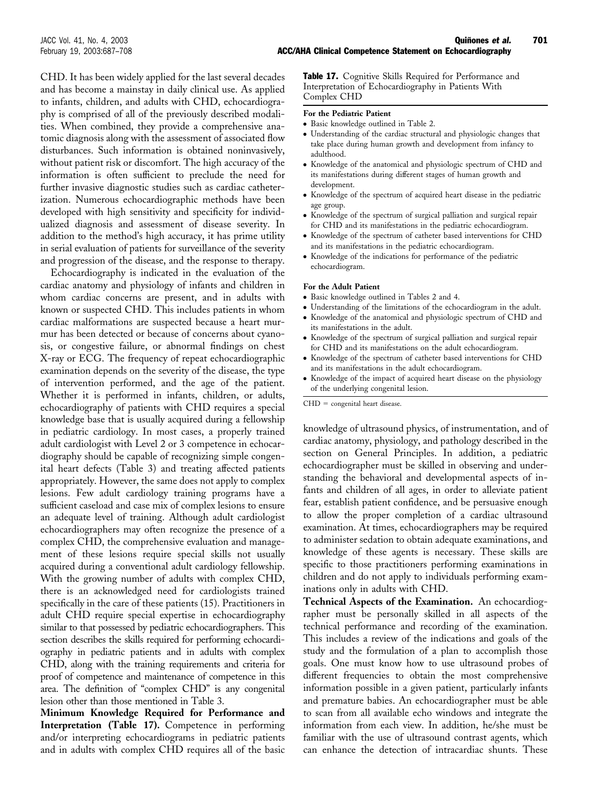CHD. It has been widely applied for the last several decades and has become a mainstay in daily clinical use. As applied to infants, children, and adults with CHD, echocardiography is comprised of all of the previously described modalities. When combined, they provide a comprehensive anatomic diagnosis along with the assessment of associated flow disturbances. Such information is obtained noninvasively, without patient risk or discomfort. The high accuracy of the information is often sufficient to preclude the need for further invasive diagnostic studies such as cardiac catheterization. Numerous echocardiographic methods have been developed with high sensitivity and specificity for individualized diagnosis and assessment of disease severity. In addition to the method's high accuracy, it has prime utility in serial evaluation of patients for surveillance of the severity and progression of the disease, and the response to therapy.

Echocardiography is indicated in the evaluation of the cardiac anatomy and physiology of infants and children in whom cardiac concerns are present, and in adults with known or suspected CHD. This includes patients in whom cardiac malformations are suspected because a heart murmur has been detected or because of concerns about cyanosis, or congestive failure, or abnormal findings on chest X-ray or ECG. The frequency of repeat echocardiographic examination depends on the severity of the disease, the type of intervention performed, and the age of the patient. Whether it is performed in infants, children, or adults, echocardiography of patients with CHD requires a special knowledge base that is usually acquired during a fellowship in pediatric cardiology. In most cases, a properly trained adult cardiologist with Level 2 or 3 competence in echocardiography should be capable of recognizing simple congenital heart defects [\(Table 3](#page-4-0)) and treating affected patients appropriately. However, the same does not apply to complex lesions. Few adult cardiology training programs have a sufficient caseload and case mix of complex lesions to ensure an adequate level of training. Although adult cardiologist echocardiographers may often recognize the presence of a complex CHD, the comprehensive evaluation and management of these lesions require special skills not usually acquired during a conventional adult cardiology fellowship. With the growing number of adults with complex CHD, there is an acknowledged need for cardiologists trained specifically in the care of these patients [\(15\)](#page-21-0). Practitioners in adult CHD require special expertise in echocardiography similar to that possessed by pediatric echocardiographers. This section describes the skills required for performing echocardiography in pediatric patients and in adults with complex CHD, along with the training requirements and criteria for proof of competence and maintenance of competence in this area. The definition of "complex CHD" is any congenital lesion other than those mentioned in [Table 3.](#page-4-0)

**Minimum Knowledge Required for Performance and Interpretation (Table 17).** Competence in performing and/or interpreting echocardiograms in pediatric patients and in adults with complex CHD requires all of the basic

Table 17. Cognitive Skills Required for Performance and Interpretation of Echocardiography in Patients With Complex CHD

**For the Pediatric Patient**

- Basic knowledge outlined in Table 2.
- Understanding of the cardiac structural and physiologic changes that take place during human growth and development from infancy to adulthood.
- Knowledge of the anatomical and physiologic spectrum of CHD and its manifestations during different stages of human growth and development.
- Knowledge of the spectrum of acquired heart disease in the pediatric age group.
- Knowledge of the spectrum of surgical palliation and surgical repair for CHD and its manifestations in the pediatric echocardiogram.
- Knowledge of the spectrum of catheter based interventions for CHD and its manifestations in the pediatric echocardiogram.
- Knowledge of the indications for performance of the pediatric echocardiogram.

#### **For the Adult Patient**

- Basic knowledge outlined in Tables 2 and 4.
- Understanding of the limitations of the echocardiogram in the adult.
- Knowledge of the anatomical and physiologic spectrum of CHD and its manifestations in the adult.
- Knowledge of the spectrum of surgical palliation and surgical repair for CHD and its manifestations on the adult echocardiogram.
- Knowledge of the spectrum of catheter based interventions for CHD and its manifestations in the adult echocardiogram.
- Knowledge of the impact of acquired heart disease on the physiology of the underlying congenital lesion.

 $CHD =$  congenital heart disease.

knowledge of ultrasound physics, of instrumentation, and of cardiac anatomy, physiology, and pathology described in the section on General Principles. In addition, a pediatric echocardiographer must be skilled in observing and understanding the behavioral and developmental aspects of infants and children of all ages, in order to alleviate patient fear, establish patient confidence, and be persuasive enough to allow the proper completion of a cardiac ultrasound examination. At times, echocardiographers may be required to administer sedation to obtain adequate examinations, and knowledge of these agents is necessary. These skills are specific to those practitioners performing examinations in children and do not apply to individuals performing examinations only in adults with CHD.

**Technical Aspects of the Examination.** An echocardiographer must be personally skilled in all aspects of the technical performance and recording of the examination. This includes a review of the indications and goals of the study and the formulation of a plan to accomplish those goals. One must know how to use ultrasound probes of different frequencies to obtain the most comprehensive information possible in a given patient, particularly infants and premature babies. An echocardiographer must be able to scan from all available echo windows and integrate the information from each view. In addition, he/she must be familiar with the use of ultrasound contrast agents, which can enhance the detection of intracardiac shunts. These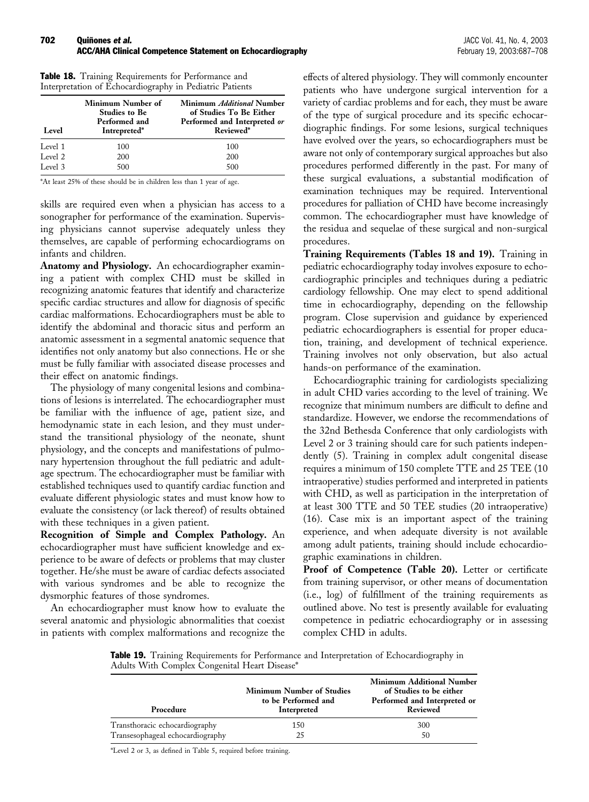|  | <b>Table 18.</b> Training Requirements for Performance and |  |  |
|--|------------------------------------------------------------|--|--|
|  | Interpretation of Echocardiography in Pediatric Patients   |  |  |

| Level   | Minimum Number of<br><b>Studies to Be</b><br>Performed and<br>Intrepreted* | Minimum Additional Number<br>of Studies To Be Either<br>Performed and Interpreted or<br>Reviewed* |  |  |
|---------|----------------------------------------------------------------------------|---------------------------------------------------------------------------------------------------|--|--|
| Level 1 | 100                                                                        | 100                                                                                               |  |  |
| Level 2 | 200                                                                        | 200                                                                                               |  |  |
| Level 3 | 500                                                                        | 500                                                                                               |  |  |

\*At least 25% of these should be in children less than 1 year of age.

skills are required even when a physician has access to a sonographer for performance of the examination. Supervising physicians cannot supervise adequately unless they themselves, are capable of performing echocardiograms on infants and children.

**Anatomy and Physiology.** An echocardiographer examining a patient with complex CHD must be skilled in recognizing anatomic features that identify and characterize specific cardiac structures and allow for diagnosis of specific cardiac malformations. Echocardiographers must be able to identify the abdominal and thoracic situs and perform an anatomic assessment in a segmental anatomic sequence that identifies not only anatomy but also connections. He or she must be fully familiar with associated disease processes and their effect on anatomic findings.

The physiology of many congenital lesions and combinations of lesions is interrelated. The echocardiographer must be familiar with the influence of age, patient size, and hemodynamic state in each lesion, and they must understand the transitional physiology of the neonate, shunt physiology, and the concepts and manifestations of pulmonary hypertension throughout the full pediatric and adultage spectrum. The echocardiographer must be familiar with established techniques used to quantify cardiac function and evaluate different physiologic states and must know how to evaluate the consistency (or lack thereof) of results obtained with these techniques in a given patient.

**Recognition of Simple and Complex Pathology.** An echocardiographer must have sufficient knowledge and experience to be aware of defects or problems that may cluster together. He/she must be aware of cardiac defects associated with various syndromes and be able to recognize the dysmorphic features of those syndromes.

An echocardiographer must know how to evaluate the several anatomic and physiologic abnormalities that coexist in patients with complex malformations and recognize the

effects of altered physiology. They will commonly encounter patients who have undergone surgical intervention for a variety of cardiac problems and for each, they must be aware of the type of surgical procedure and its specific echocardiographic findings. For some lesions, surgical techniques have evolved over the years, so echocardiographers must be aware not only of contemporary surgical approaches but also procedures performed differently in the past. For many of these surgical evaluations, a substantial modification of examination techniques may be required. Interventional procedures for palliation of CHD have become increasingly common. The echocardiographer must have knowledge of the residua and sequelae of these surgical and non-surgical procedures.

**Training Requirements (Tables 18 and 19).** Training in pediatric echocardiography today involves exposure to echocardiographic principles and techniques during a pediatric cardiology fellowship. One may elect to spend additional time in echocardiography, depending on the fellowship program. Close supervision and guidance by experienced pediatric echocardiographers is essential for proper education, training, and development of technical experience. Training involves not only observation, but also actual hands-on performance of the examination.

Echocardiographic training for cardiologists specializing in adult CHD varies according to the level of training. We recognize that minimum numbers are difficult to define and standardize. However, we endorse the recommendations of the 32nd Bethesda Conference that only cardiologists with Level 2 or 3 training should care for such patients independently [\(5\)](#page-21-0). Training in complex adult congenital disease requires a minimum of 150 complete TTE and 25 TEE (10 intraoperative) studies performed and interpreted in patients with CHD, as well as participation in the interpretation of at least 300 TTE and 50 TEE studies (20 intraoperative) [\(16\)](#page-21-0). Case mix is an important aspect of the training experience, and when adequate diversity is not available among adult patients, training should include echocardiographic examinations in children.

**Proof of Competence [\(Table 20\).](#page-16-0)** Letter or certificate from training supervisor, or other means of documentation (i.e., log) of fulfillment of the training requirements as outlined above. No test is presently available for evaluating competence in pediatric echocardiography or in assessing complex CHD in adults.

Table 19. Training Requirements for Performance and Interpretation of Echocardiography in Adults With Complex Congenital Heart Disease\*

| Procedure                        | <b>Minimum Number of Studies</b><br>to be Performed and<br>Interpreted | <b>Minimum Additional Number</b><br>of Studies to be either<br>Performed and Interpreted or<br>Reviewed |
|----------------------------------|------------------------------------------------------------------------|---------------------------------------------------------------------------------------------------------|
| Transthoracic echocardiography   | 150                                                                    | 300                                                                                                     |
| Transesophageal echocardiography | 25                                                                     | 50                                                                                                      |

\*Level 2 or 3, as defined in [Table 5](#page-4-0), required before training.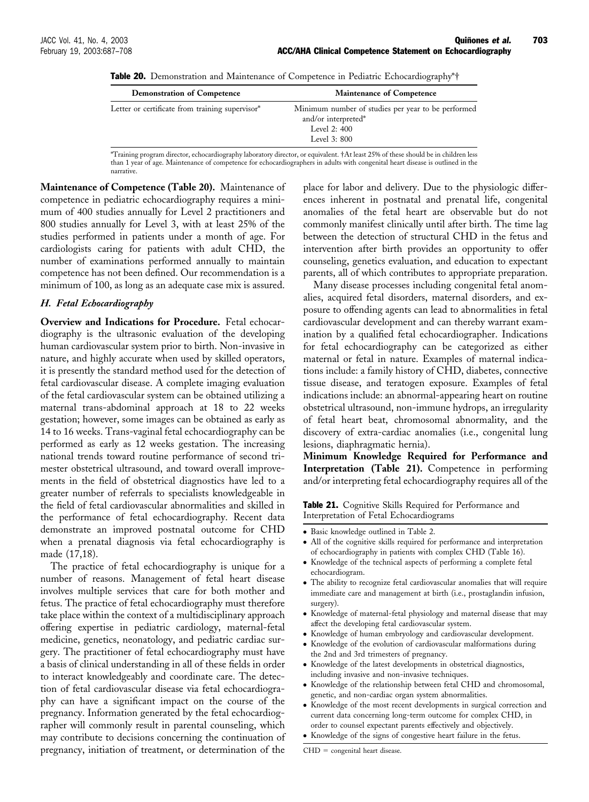<span id="page-16-0"></span>

|  | <b>Table 20.</b> Demonstration and Maintenance of Competence in Pediatric Echocardiography*† |  |  |  |  |  |  |  |
|--|----------------------------------------------------------------------------------------------|--|--|--|--|--|--|--|
|--|----------------------------------------------------------------------------------------------|--|--|--|--|--|--|--|

| <b>Demonstration of Competence</b>              | <b>Maintenance of Competence</b>                                                                            |
|-------------------------------------------------|-------------------------------------------------------------------------------------------------------------|
| Letter or certificate from training supervisor* | Minimum number of studies per year to be performed<br>and/or interpreted*<br>Level $2:400$<br>Level $3:800$ |
|                                                 |                                                                                                             |

\*Training program director, echocardiography laboratory director, or equivalent. †At least 25% of these should be in children less than 1 year of age. Maintenance of competence for echocardiographers in adults with congenital heart disease is outlined in the narrative.

**Maintenance of Competence (Table 20).** Maintenance of competence in pediatric echocardiography requires a minimum of 400 studies annually for Level 2 practitioners and 800 studies annually for Level 3, with at least 25% of the studies performed in patients under a month of age. For cardiologists caring for patients with adult CHD, the number of examinations performed annually to maintain competence has not been defined. Our recommendation is a minimum of 100, as long as an adequate case mix is assured.

#### *H. Fetal Echocardiography*

**Overview and Indications for Procedure.** Fetal echocardiography is the ultrasonic evaluation of the developing human cardiovascular system prior to birth. Non-invasive in nature, and highly accurate when used by skilled operators, it is presently the standard method used for the detection of fetal cardiovascular disease. A complete imaging evaluation of the fetal cardiovascular system can be obtained utilizing a maternal trans-abdominal approach at 18 to 22 weeks gestation; however, some images can be obtained as early as 14 to 16 weeks. Trans-vaginal fetal echocardiography can be performed as early as 12 weeks gestation. The increasing national trends toward routine performance of second trimester obstetrical ultrasound, and toward overall improvements in the field of obstetrical diagnostics have led to a greater number of referrals to specialists knowledgeable in the field of fetal cardiovascular abnormalities and skilled in the performance of fetal echocardiography. Recent data demonstrate an improved postnatal outcome for CHD when a prenatal diagnosis via fetal echocardiography is made [\(17,18\).](#page-21-0)

The practice of fetal echocardiography is unique for a number of reasons. Management of fetal heart disease involves multiple services that care for both mother and fetus. The practice of fetal echocardiography must therefore take place within the context of a multidisciplinary approach offering expertise in pediatric cardiology, maternal-fetal medicine, genetics, neonatology, and pediatric cardiac surgery. The practitioner of fetal echocardiography must have a basis of clinical understanding in all of these fields in order to interact knowledgeably and coordinate care. The detection of fetal cardiovascular disease via fetal echocardiography can have a significant impact on the course of the pregnancy. Information generated by the fetal echocardiographer will commonly result in parental counseling, which may contribute to decisions concerning the continuation of pregnancy, initiation of treatment, or determination of the

place for labor and delivery. Due to the physiologic differences inherent in postnatal and prenatal life, congenital anomalies of the fetal heart are observable but do not commonly manifest clinically until after birth. The time lag between the detection of structural CHD in the fetus and intervention after birth provides an opportunity to offer counseling, genetics evaluation, and education to expectant parents, all of which contributes to appropriate preparation.

Many disease processes including congenital fetal anomalies, acquired fetal disorders, maternal disorders, and exposure to offending agents can lead to abnormalities in fetal cardiovascular development and can thereby warrant examination by a qualified fetal echocardiographer. Indications for fetal echocardiography can be categorized as either maternal or fetal in nature. Examples of maternal indications include: a family history of CHD, diabetes, connective tissue disease, and teratogen exposure. Examples of fetal indications include: an abnormal-appearing heart on routine obstetrical ultrasound, non-immune hydrops, an irregularity of fetal heart beat, chromosomal abnormality, and the discovery of extra-cardiac anomalies (i.e., congenital lung lesions, diaphragmatic hernia).

**Minimum Knowledge Required for Performance and Interpretation (Table 21).** Competence in performing and/or interpreting fetal echocardiography requires all of the

Table 21. Cognitive Skills Required for Performance and Interpretation of Fetal Echocardiograms

- Basic knowledge outlined in Table 2.
- All of the cognitive skills required for performance and interpretation of echocardiography in patients with complex CHD (Table 16).
- Knowledge of the technical aspects of performing a complete fetal echocardiogram.
- The ability to recognize fetal cardiovascular anomalies that will require immediate care and management at birth (i.e., prostaglandin infusion, surgery).
- Knowledge of maternal-fetal physiology and maternal disease that may affect the developing fetal cardiovascular system.
- Knowledge of human embryology and cardiovascular development.
- Knowledge of the evolution of cardiovascular malformations during the 2nd and 3rd trimesters of pregnancy.
- Knowledge of the latest developments in obstetrical diagnostics, including invasive and non-invasive techniques.
- Knowledge of the relationship between fetal CHD and chromosomal, genetic, and non-cardiac organ system abnormalities.
- Knowledge of the most recent developments in surgical correction and current data concerning long-term outcome for complex CHD, in order to counsel expectant parents effectively and objectively.
- Knowledge of the signs of congestive heart failure in the fetus.

 $CHD =$  congenital heart disease.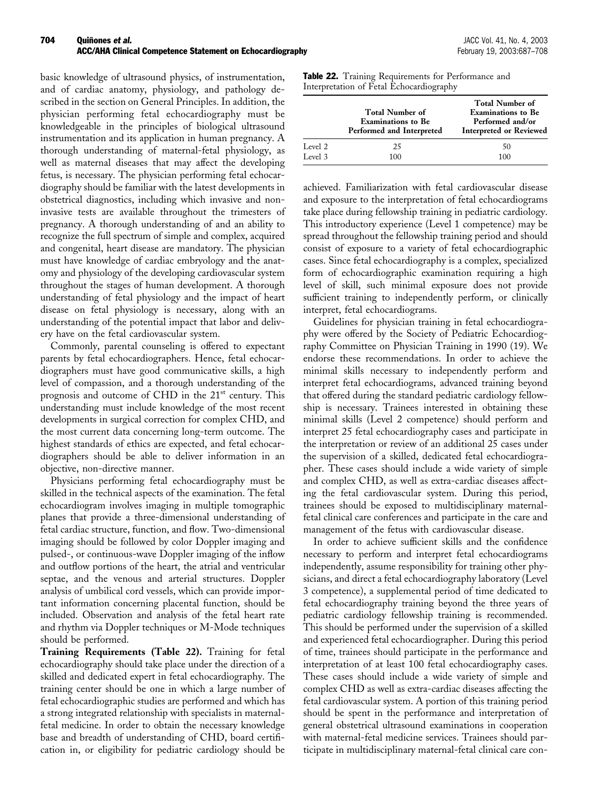basic knowledge of ultrasound physics, of instrumentation, and of cardiac anatomy, physiology, and pathology described in the section on General Principles. In addition, the physician performing fetal echocardiography must be knowledgeable in the principles of biological ultrasound instrumentation and its application in human pregnancy. A thorough understanding of maternal-fetal physiology, as well as maternal diseases that may affect the developing fetus, is necessary. The physician performing fetal echocardiography should be familiar with the latest developments in obstetrical diagnostics, including which invasive and noninvasive tests are available throughout the trimesters of pregnancy. A thorough understanding of and an ability to recognize the full spectrum of simple and complex, acquired and congenital, heart disease are mandatory. The physician must have knowledge of cardiac embryology and the anatomy and physiology of the developing cardiovascular system throughout the stages of human development. A thorough understanding of fetal physiology and the impact of heart disease on fetal physiology is necessary, along with an understanding of the potential impact that labor and delivery have on the fetal cardiovascular system.

Commonly, parental counseling is offered to expectant parents by fetal echocardiographers. Hence, fetal echocardiographers must have good communicative skills, a high level of compassion, and a thorough understanding of the prognosis and outcome of CHD in the 21<sup>st</sup> century. This understanding must include knowledge of the most recent developments in surgical correction for complex CHD, and the most current data concerning long-term outcome. The highest standards of ethics are expected, and fetal echocardiographers should be able to deliver information in an objective, non-directive manner.

Physicians performing fetal echocardiography must be skilled in the technical aspects of the examination. The fetal echocardiogram involves imaging in multiple tomographic planes that provide a three-dimensional understanding of fetal cardiac structure, function, and flow. Two-dimensional imaging should be followed by color Doppler imaging and pulsed-, or continuous-wave Doppler imaging of the inflow and outflow portions of the heart, the atrial and ventricular septae, and the venous and arterial structures. Doppler analysis of umbilical cord vessels, which can provide important information concerning placental function, should be included. Observation and analysis of the fetal heart rate and rhythm via Doppler techniques or M-Mode techniques should be performed.

**Training Requirements (Table 22).** Training for fetal echocardiography should take place under the direction of a skilled and dedicated expert in fetal echocardiography. The training center should be one in which a large number of fetal echocardiographic studies are performed and which has a strong integrated relationship with specialists in maternalfetal medicine. In order to obtain the necessary knowledge base and breadth of understanding of CHD, board certification in, or eligibility for pediatric cardiology should be

| Table 22. Training Requirements for Performance and |
|-----------------------------------------------------|
| Interpretation of Fetal Echocardiography            |

|         | <b>Total Number of</b><br><b>Examinations to Be</b><br>Performed and Interpreted | <b>Total Number of</b><br><b>Examinations to Be</b><br>Performed and/or<br>Interpreted or Reviewed |  |
|---------|----------------------------------------------------------------------------------|----------------------------------------------------------------------------------------------------|--|
| Level 2 | 25                                                                               | 50                                                                                                 |  |
| Level 3 | 100                                                                              | 100                                                                                                |  |

achieved. Familiarization with fetal cardiovascular disease and exposure to the interpretation of fetal echocardiograms take place during fellowship training in pediatric cardiology. This introductory experience (Level 1 competence) may be spread throughout the fellowship training period and should consist of exposure to a variety of fetal echocardiographic cases. Since fetal echocardiography is a complex, specialized form of echocardiographic examination requiring a high level of skill, such minimal exposure does not provide sufficient training to independently perform, or clinically interpret, fetal echocardiograms.

Guidelines for physician training in fetal echocardiography were offered by the Society of Pediatric Echocardiography Committee on Physician Training in 1990 [\(19\)](#page-21-0). We endorse these recommendations. In order to achieve the minimal skills necessary to independently perform and interpret fetal echocardiograms, advanced training beyond that offered during the standard pediatric cardiology fellowship is necessary. Trainees interested in obtaining these minimal skills (Level 2 competence) should perform and interpret 25 fetal echocardiography cases and participate in the interpretation or review of an additional 25 cases under the supervision of a skilled, dedicated fetal echocardiographer. These cases should include a wide variety of simple and complex CHD, as well as extra-cardiac diseases affecting the fetal cardiovascular system. During this period, trainees should be exposed to multidisciplinary maternalfetal clinical care conferences and participate in the care and management of the fetus with cardiovascular disease.

In order to achieve sufficient skills and the confidence necessary to perform and interpret fetal echocardiograms independently, assume responsibility for training other physicians, and direct a fetal echocardiography laboratory (Level 3 competence), a supplemental period of time dedicated to fetal echocardiography training beyond the three years of pediatric cardiology fellowship training is recommended. This should be performed under the supervision of a skilled and experienced fetal echocardiographer. During this period of time, trainees should participate in the performance and interpretation of at least 100 fetal echocardiography cases. These cases should include a wide variety of simple and complex CHD as well as extra-cardiac diseases affecting the fetal cardiovascular system. A portion of this training period should be spent in the performance and interpretation of general obstetrical ultrasound examinations in cooperation with maternal-fetal medicine services. Trainees should participate in multidisciplinary maternal-fetal clinical care con-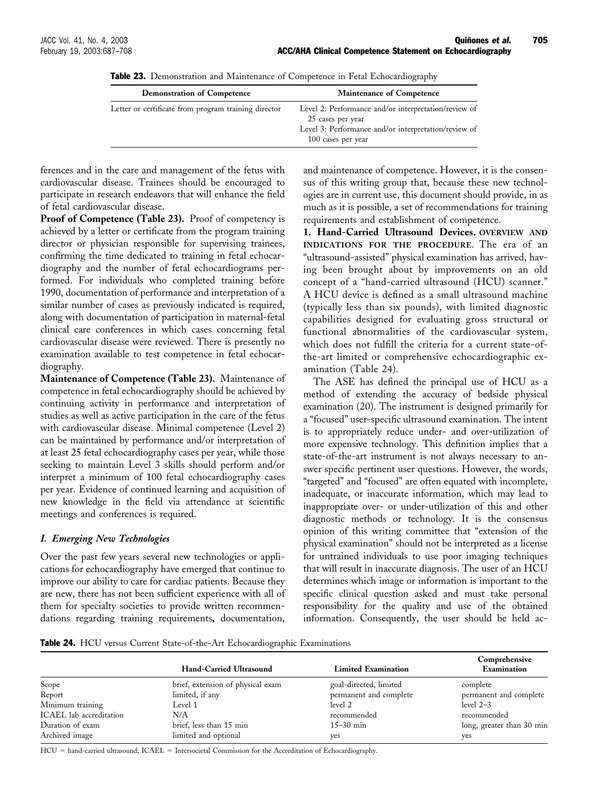| <b>Demonstration of Competence</b>                   | <b>Maintenance of Competence</b>                                                                                                                        |  |
|------------------------------------------------------|---------------------------------------------------------------------------------------------------------------------------------------------------------|--|
| Letter or certificate from program training director | Level 2: Performance and/or interpretation/review of<br>25 cases per year<br>Level 3: Performance and/or interpretation/review of<br>100 cases per year |  |

Table 23. Demonstration and Maintenance of Competence in Fetal Echocardiography

ferences and in the care and management of the fetus with cardiovascular disease. Trainees should be encouraged to participate in research endeavors that will enhance the field of fetal cardiovascular disease.

Proof of Competence (Table 23). Proof of competency is achieved by a letter or certificate from the program training director or physician responsible for supervising trainees, confirming the time dedicated to training in fetal echocardiography and the number of fetal echocardiograms performed. For individuals who completed training before 1990, documentation of performance and interpretation of a similar number of cases as previously indicated is required, along with documentation of participation in maternal-fetal clinical care conferences in which cases concerning fetal cardiovascular disease were reviewed. There is presently no examination available to test competence in fetal echocardiography.

**Maintenance of Competence (Table 23).** Maintenance of competence in fetal echocardiography should be achieved by continuing activity in performance and interpretation of studies as well as active participation in the care of the fetus with cardiovascular disease. Minimal competence (Level 2) can be maintained by performance and/or interpretation of at least 25 fetal echocardiography cases per year, while those seeking to maintain Level 3 skills should perform and/or interpret a minimum of 100 fetal echocardiography cases per year. Evidence of continued learning and acquisition of new knowledge in the field via attendance at scientific meetings and conferences is required.

# *I. Emerging New Technologies*

Over the past few years several new technologies or applications for echocardiography have emerged that continue to improve our ability to care for cardiac patients. Because they are new, there has not been sufficient experience with all of them for specialty societies to provide written recommendations regarding training requirements, documentation,

and maintenance of competence. However, it is the consensus of this writing group that, because these new technologies are in current use, this document should provide, in as much as it is possible, a set of recommendations for training requirements and establishment of competence.

**1. Hand-Carried Ultrasound Devices. OVERVIEW AND INDICATIONS FOR THE PROCEDURE.** The era of an "ultrasound-assisted" physical examination has arrived, having been brought about by improvements on an old concept of a "hand-carried ultrasound (HCU) scanner." A HCU device is defined as a small ultrasound machine (typically less than six pounds), with limited diagnostic capabilities designed for evaluating gross structural or functional abnormalities of the cardiovascular system, which does not fulfill the criteria for a current state-ofthe-art limited or comprehensive echocardiographic examination (Table 24).

The ASE has defined the principal use of HCU as a method of extending the accuracy of bedside physical examination [\(20\).](#page-21-0) The instrument is designed primarily for a "focused" user-specific ultrasound examination. The intent is to appropriately reduce under- and over-utilization of more expensive technology. This definition implies that a state-of-the-art instrument is not always necessary to answer specific pertinent user questions. However, the words, "targeted" and "focused" are often equated with incomplete, inadequate, or inaccurate information, which may lead to inappropriate over- or under-utilization of this and other diagnostic methods or technology. It is the consensus opinion of this writing committee that "extension of the physical examination" should not be interpreted as a license for untrained individuals to use poor imaging techniques that will result in inaccurate diagnosis. The user of an HCU determines which image or information is important to the specific clinical question asked and must take personal responsibility for the quality and use of the obtained information. Consequently, the user should be held ac-

Table 24. HCU versus Current State-of-the-Art Echocardiographic Examinations

|                         | Hand-Carried Ultrasound           | <b>Limited Examination</b> | Comprehensive<br>Examination |
|-------------------------|-----------------------------------|----------------------------|------------------------------|
| Scope                   | brief, extension of physical exam | goal-directed, limited     | complete                     |
| Report                  | limited, if any                   | permanent and complete     | permanent and complete       |
| Minimum training        | Level 1                           | level 2                    | level $2-3$                  |
| ICAEL lab accreditation | N/A                               | recommended                | recommended                  |
| Duration of exam        | brief, less than 15 min           | $15 - 30$ min              | long, greater than 30 min    |
| Archived image          | limited and optional              | yes                        | ves                          |

HCU = hand-carried ultrasound; ICAEL = Intersocietal Commission for the Accreditation of Echocardiography.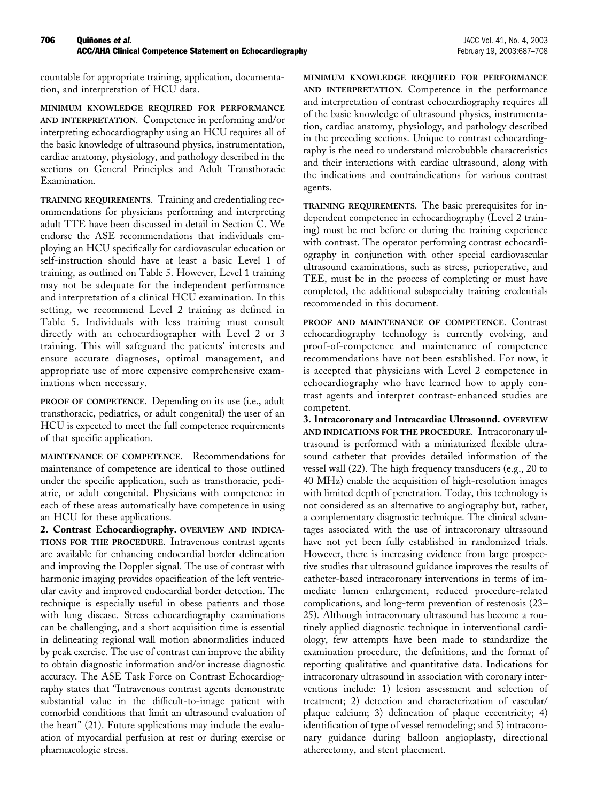countable for appropriate training, application, documentation, and interpretation of HCU data.

**MINIMUM KNOWLEDGE REQUIRED FOR PERFORMANCE AND INTERPRETATION.** Competence in performing and/or interpreting echocardiography using an HCU requires all of the basic knowledge of ultrasound physics, instrumentation, cardiac anatomy, physiology, and pathology described in the sections on General Principles and Adult Transthoracic Examination.

**TRAINING REQUIREMENTS.** Training and credentialing recommendations for physicians performing and interpreting adult TTE have been discussed in detail in Section C. We endorse the ASE recommendations that individuals employing an HCU specifically for cardiovascular education or self-instruction should have at least a basic Level 1 of training, as outlined on [Table 5.](#page-4-0) However, Level 1 training may not be adequate for the independent performance and interpretation of a clinical HCU examination. In this setting, we recommend Level 2 training as defined in [Table 5](#page-4-0). Individuals with less training must consult directly with an echocardiographer with Level 2 or 3 training. This will safeguard the patients' interests and ensure accurate diagnoses, optimal management, and appropriate use of more expensive comprehensive examinations when necessary.

**PROOF OF COMPETENCE.** Depending on its use (i.e., adult transthoracic, pediatrics, or adult congenital) the user of an HCU is expected to meet the full competence requirements of that specific application.

**MAINTENANCE OF COMPETENCE.** Recommendations for maintenance of competence are identical to those outlined under the specific application, such as transthoracic, pediatric, or adult congenital. Physicians with competence in each of these areas automatically have competence in using an HCU for these applications.

**2. Contrast Echocardiography. OVERVIEW AND INDICA-TIONS FOR THE PROCEDURE.** Intravenous contrast agents are available for enhancing endocardial border delineation and improving the Doppler signal. The use of contrast with harmonic imaging provides opacification of the left ventricular cavity and improved endocardial border detection. The technique is especially useful in obese patients and those with lung disease. Stress echocardiography examinations can be challenging, and a short acquisition time is essential in delineating regional wall motion abnormalities induced by peak exercise. The use of contrast can improve the ability to obtain diagnostic information and/or increase diagnostic accuracy. The ASE Task Force on Contrast Echocardiography states that "Intravenous contrast agents demonstrate substantial value in the difficult-to-image patient with comorbid conditions that limit an ultrasound evaluation of the heart" [\(21\).](#page-21-0) Future applications may include the evaluation of myocardial perfusion at rest or during exercise or pharmacologic stress.

**MINIMUM KNOWLEDGE REQUIRED FOR PERFORMANCE AND INTERPRETATION.** Competence in the performance and interpretation of contrast echocardiography requires all of the basic knowledge of ultrasound physics, instrumentation, cardiac anatomy, physiology, and pathology described in the preceding sections. Unique to contrast echocardiography is the need to understand microbubble characteristics and their interactions with cardiac ultrasound, along with the indications and contraindications for various contrast agents.

**TRAINING REQUIREMENTS.** The basic prerequisites for independent competence in echocardiography (Level 2 training) must be met before or during the training experience with contrast. The operator performing contrast echocardiography in conjunction with other special cardiovascular ultrasound examinations, such as stress, perioperative, and TEE, must be in the process of completing or must have completed, the additional subspecialty training credentials recommended in this document.

**PROOF AND MAINTENANCE OF COMPETENCE.** Contrast echocardiography technology is currently evolving, and proof-of-competence and maintenance of competence recommendations have not been established. For now, it is accepted that physicians with Level 2 competence in echocardiography who have learned how to apply contrast agents and interpret contrast-enhanced studies are competent.

**3. Intracoronary and Intracardiac Ultrasound. OVERVIEW AND INDICATIONS FOR THE PROCEDURE.** Intracoronary ultrasound is performed with a miniaturized flexible ultrasound catheter that provides detailed information of the vessel wall [\(22\)](#page-21-0). The high frequency transducers (e.g., 20 to 40 MHz) enable the acquisition of high-resolution images with limited depth of penetration. Today, this technology is not considered as an alternative to angiography but, rather, a complementary diagnostic technique. The clinical advantages associated with the use of intracoronary ultrasound have not yet been fully established in randomized trials. However, there is increasing evidence from large prospective studies that ultrasound guidance improves the results of catheter-based intracoronary interventions in terms of immediate lumen enlargement, reduced procedure-related complications, and long-term prevention of restenosis (23– 25). Although intracoronary ultrasound has become a routinely applied diagnostic technique in interventional cardiology, few attempts have been made to standardize the examination procedure, the definitions, and the format of reporting qualitative and quantitative data. Indications for intracoronary ultrasound in association with coronary interventions include: 1) lesion assessment and selection of treatment; 2) detection and characterization of vascular/ plaque calcium; 3) delineation of plaque eccentricity; 4) identification of type of vessel remodeling; and 5) intracoronary guidance during balloon angioplasty, directional atherectomy, and stent placement.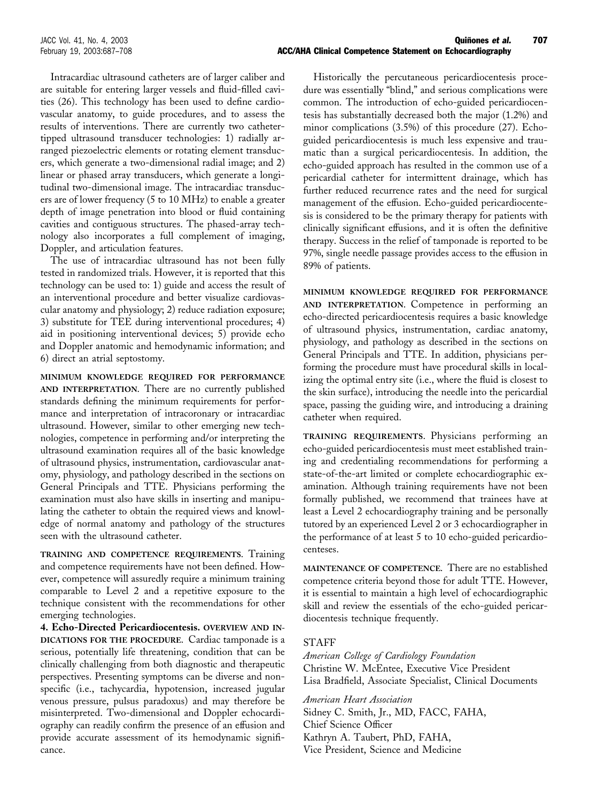Intracardiac ultrasound catheters are of larger caliber and are suitable for entering larger vessels and fluid-filled cavities [\(26\).](#page-21-0) This technology has been used to define cardiovascular anatomy, to guide procedures, and to assess the results of interventions. There are currently two cathetertipped ultrasound transducer technologies: 1) radially arranged piezoelectric elements or rotating element transducers, which generate a two-dimensional radial image; and 2) linear or phased array transducers, which generate a longitudinal two-dimensional image. The intracardiac transducers are of lower frequency (5 to 10 MHz) to enable a greater depth of image penetration into blood or fluid containing cavities and contiguous structures. The phased-array technology also incorporates a full complement of imaging, Doppler, and articulation features.

The use of intracardiac ultrasound has not been fully tested in randomized trials. However, it is reported that this technology can be used to: 1) guide and access the result of an interventional procedure and better visualize cardiovascular anatomy and physiology; 2) reduce radiation exposure; 3) substitute for TEE during interventional procedures; 4) aid in positioning interventional devices; 5) provide echo and Doppler anatomic and hemodynamic information; and 6) direct an atrial septostomy.

**MINIMUM KNOWLEDGE REQUIRED FOR PERFORMANCE AND INTERPRETATION.** There are no currently published standards defining the minimum requirements for performance and interpretation of intracoronary or intracardiac ultrasound. However, similar to other emerging new technologies, competence in performing and/or interpreting the ultrasound examination requires all of the basic knowledge of ultrasound physics, instrumentation, cardiovascular anatomy, physiology, and pathology described in the sections on General Principals and TTE. Physicians performing the examination must also have skills in inserting and manipulating the catheter to obtain the required views and knowledge of normal anatomy and pathology of the structures seen with the ultrasound catheter.

**TRAINING AND COMPETENCE REQUIREMENTS.** Training and competence requirements have not been defined. However, competence will assuredly require a minimum training comparable to Level 2 and a repetitive exposure to the technique consistent with the recommendations for other emerging technologies.

**4. Echo-Directed Pericardiocentesis. OVERVIEW AND IN-DICATIONS FOR THE PROCEDURE.** Cardiac tamponade is a serious, potentially life threatening, condition that can be clinically challenging from both diagnostic and therapeutic perspectives. Presenting symptoms can be diverse and nonspecific (i.e., tachycardia, hypotension, increased jugular venous pressure, pulsus paradoxus) and may therefore be misinterpreted. Two-dimensional and Doppler echocardiography can readily confirm the presence of an effusion and provide accurate assessment of its hemodynamic significance.

Historically the percutaneous pericardiocentesis procedure was essentially "blind," and serious complications were common. The introduction of echo-guided pericardiocentesis has substantially decreased both the major (1.2%) and minor complications (3.5%) of this procedure (27). Echoguided pericardiocentesis is much less expensive and traumatic than a surgical pericardiocentesis. In addition, the echo-guided approach has resulted in the common use of a pericardial catheter for intermittent drainage, which has further reduced recurrence rates and the need for surgical management of the effusion. Echo-guided pericardiocentesis is considered to be the primary therapy for patients with clinically significant effusions, and it is often the definitive therapy. Success in the relief of tamponade is reported to be 97%, single needle passage provides access to the effusion in 89% of patients.

**MINIMUM KNOWLEDGE REQUIRED FOR PERFORMANCE AND INTERPRETATION.** Competence in performing an echo-directed pericardiocentesis requires a basic knowledge of ultrasound physics, instrumentation, cardiac anatomy, physiology, and pathology as described in the sections on General Principals and TTE. In addition, physicians performing the procedure must have procedural skills in localizing the optimal entry site (i.e., where the fluid is closest to the skin surface), introducing the needle into the pericardial space, passing the guiding wire, and introducing a draining catheter when required.

**TRAINING REQUIREMENTS.** Physicians performing an echo-guided pericardiocentesis must meet established training and credentialing recommendations for performing a state-of-the-art limited or complete echocardiographic examination. Although training requirements have not been formally published, we recommend that trainees have at least a Level 2 echocardiography training and be personally tutored by an experienced Level 2 or 3 echocardiographer in the performance of at least 5 to 10 echo-guided pericardiocenteses.

**MAINTENANCE OF COMPETENCE.** There are no established competence criteria beyond those for adult TTE. However, it is essential to maintain a high level of echocardiographic skill and review the essentials of the echo-guided pericardiocentesis technique frequently.

# STAFF

*American College of Cardiology Foundation* Christine W. McEntee, Executive Vice President Lisa Bradfield, Associate Specialist, Clinical Documents

*American Heart Association* Sidney C. Smith, Jr., MD, FACC, FAHA, Chief Science Officer Kathryn A. Taubert, PhD, FAHA, Vice President, Science and Medicine